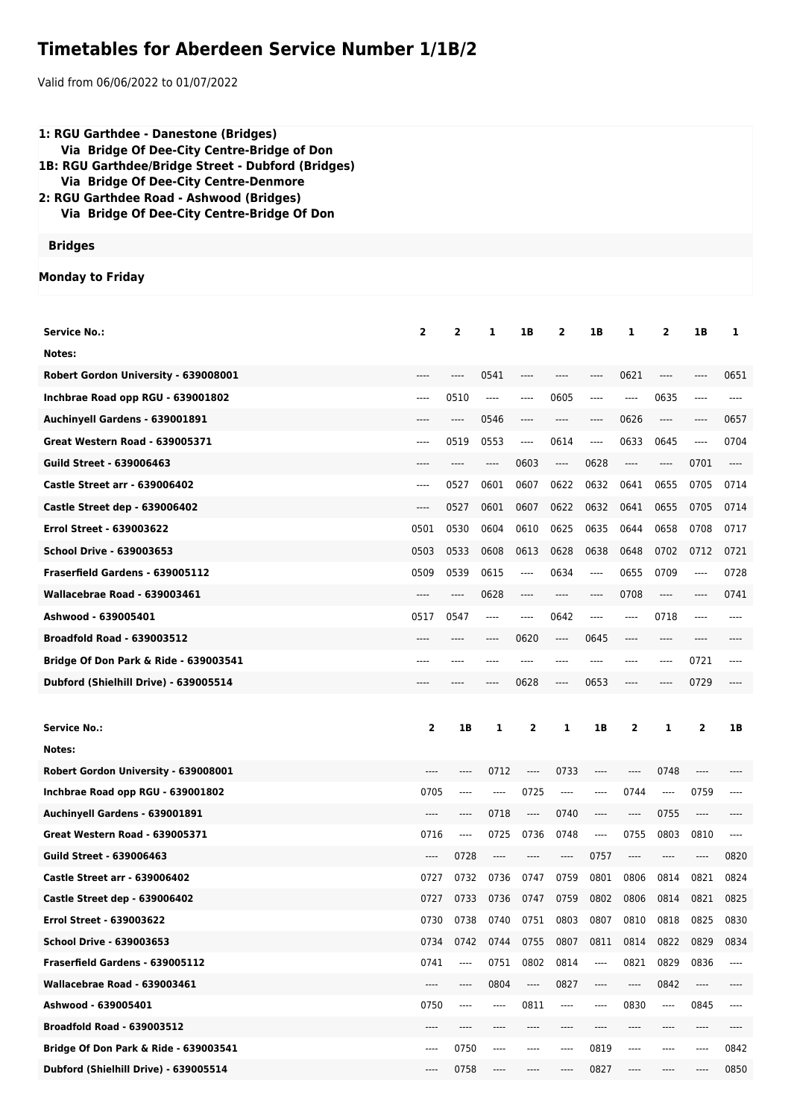## **Timetables for Aberdeen Service Number 1/1B/2**

Valid from 06/06/2022 to 01/07/2022

| 1: RGU Garthdee - Danestone (Bridges)<br>Via Bridge Of Dee-City Centre-Bridge of Don<br>1B: RGU Garthdee/Bridge Street - Dubford (Bridges)<br>Via Bridge Of Dee-City Centre-Denmore<br>2: RGU Garthdee Road - Ashwood (Bridges)<br>Via Bridge Of Dee-City Centre-Bridge Of Don |                |          |       |          |                                                                                                                                                                                                                                                                                                                                                                                 |          |          |                |          |          |
|--------------------------------------------------------------------------------------------------------------------------------------------------------------------------------------------------------------------------------------------------------------------------------|----------------|----------|-------|----------|---------------------------------------------------------------------------------------------------------------------------------------------------------------------------------------------------------------------------------------------------------------------------------------------------------------------------------------------------------------------------------|----------|----------|----------------|----------|----------|
| <b>Bridges</b>                                                                                                                                                                                                                                                                 |                |          |       |          |                                                                                                                                                                                                                                                                                                                                                                                 |          |          |                |          |          |
| <b>Monday to Friday</b>                                                                                                                                                                                                                                                        |                |          |       |          |                                                                                                                                                                                                                                                                                                                                                                                 |          |          |                |          |          |
|                                                                                                                                                                                                                                                                                |                |          |       |          |                                                                                                                                                                                                                                                                                                                                                                                 |          |          |                |          |          |
| <b>Service No.:</b>                                                                                                                                                                                                                                                            | $\overline{2}$ | 2        | 1     | 1B       | $\overline{2}$                                                                                                                                                                                                                                                                                                                                                                  | 1B       | 1        | $\overline{2}$ | 1B       | 1        |
| Notes:                                                                                                                                                                                                                                                                         |                |          |       |          |                                                                                                                                                                                                                                                                                                                                                                                 |          |          |                |          |          |
| Robert Gordon University - 639008001                                                                                                                                                                                                                                           | ----           | ----     | 0541  |          | ----                                                                                                                                                                                                                                                                                                                                                                            | ----     | 0621     | ----           |          | 0651     |
| Inchbrae Road opp RGU - 639001802                                                                                                                                                                                                                                              | $---$          | 0510     | $---$ | ----     | 0605                                                                                                                                                                                                                                                                                                                                                                            | ----     | $---$    | 0635           | ----     |          |
| Auchinyell Gardens - 639001891                                                                                                                                                                                                                                                 |                | $---$    | 0546  |          | $---$                                                                                                                                                                                                                                                                                                                                                                           | ----     | 0626     | ----           |          | 0657     |
| Great Western Road - 639005371                                                                                                                                                                                                                                                 | $---$          | 0519     | 0553  | $\cdots$ | 0614                                                                                                                                                                                                                                                                                                                                                                            | ----     | 0633     | 0645           | $---$    | 0704     |
| <b>Guild Street - 639006463</b>                                                                                                                                                                                                                                                | ----           | $---$    | ----  | 0603     | $\hspace{0.01em}\rule{0.7pt}{0.1em}\hspace{0.01em}\hspace{0.01em}\hspace{0.01em}\hspace{0.01em}\hspace{0.01em}\hspace{0.01em}\hspace{0.01em}\hspace{0.01em}\hspace{0.01em}\hspace{0.01em}\hspace{0.01em}\hspace{0.01em}\hspace{0.01em}\hspace{0.01em}\hspace{0.01em}\hspace{0.01em}\hspace{0.01em}\hspace{0.01em}\hspace{0.01em}\hspace{0.01em}\hspace{0.01em}\hspace{0.01em}\$ | 0628     | $-----$  | ----           | 0701     | ----     |
| <b>Castle Street arr - 639006402</b>                                                                                                                                                                                                                                           | $---$          | 0527     | 0601  | 0607     | 0622                                                                                                                                                                                                                                                                                                                                                                            | 0632     | 0641     | 0655           | 0705     | 0714     |
| Castle Street dep - 639006402                                                                                                                                                                                                                                                  | $---$          | 0527     | 0601  | 0607     | 0622                                                                                                                                                                                                                                                                                                                                                                            | 0632     | 0641     | 0655           | 0705     | 0714     |
| <b>Errol Street - 639003622</b>                                                                                                                                                                                                                                                | 0501           | 0530     | 0604  | 0610     | 0625                                                                                                                                                                                                                                                                                                                                                                            | 0635     | 0644     | 0658           | 0708     | 0717     |
| <b>School Drive - 639003653</b>                                                                                                                                                                                                                                                | 0503           | 0533     | 0608  | 0613     | 0628                                                                                                                                                                                                                                                                                                                                                                            | 0638     | 0648     | 0702           | 0712     | 0721     |
| Fraserfield Gardens - 639005112                                                                                                                                                                                                                                                | 0509           | 0539     | 0615  | $---$    | 0634                                                                                                                                                                                                                                                                                                                                                                            | $\cdots$ | 0655     | 0709           | $---$    | 0728     |
| Wallacebrae Road - 639003461                                                                                                                                                                                                                                                   | ----           | $---$    | 0628  | ----     | $---$                                                                                                                                                                                                                                                                                                                                                                           | ----     | 0708     | $---$          |          | 0741     |
| Ashwood - 639005401                                                                                                                                                                                                                                                            | 0517           | 0547     | ----  | $\cdots$ | 0642                                                                                                                                                                                                                                                                                                                                                                            | ----     | $---$    | 0718           |          |          |
| <b>Broadfold Road - 639003512</b>                                                                                                                                                                                                                                              | ----           | ----     | ----  | 0620     | $\hspace{1.5cm} \textbf{---}$                                                                                                                                                                                                                                                                                                                                                   | 0645     | ----     | ----           |          |          |
| Bridge Of Don Park & Ride - 639003541                                                                                                                                                                                                                                          | ----           |          |       |          | ----                                                                                                                                                                                                                                                                                                                                                                            |          | ----     | ----           | 0721     |          |
| Dubford (Shielhill Drive) - 639005514                                                                                                                                                                                                                                          |                |          |       | 0628     | $-----$                                                                                                                                                                                                                                                                                                                                                                         | 0653     | ----     |                | 0729     |          |
|                                                                                                                                                                                                                                                                                |                |          |       |          |                                                                                                                                                                                                                                                                                                                                                                                 |          |          |                |          |          |
| <b>Service No.:</b>                                                                                                                                                                                                                                                            | 2              | 1B       | 1     | 2        | 1                                                                                                                                                                                                                                                                                                                                                                               | 1B       | 2        | 1              | 2        | 1B       |
| Notes:                                                                                                                                                                                                                                                                         |                |          |       |          |                                                                                                                                                                                                                                                                                                                                                                                 |          |          |                |          |          |
| Robert Gordon University - 639008001                                                                                                                                                                                                                                           |                | ----     | 0712  | ----     | 0733                                                                                                                                                                                                                                                                                                                                                                            | $-----$  | $\cdots$ | 0748           |          |          |
| Inchbrae Road opp RGU - 639001802                                                                                                                                                                                                                                              | 0705           | $---$    | ----  | 0725     | ----                                                                                                                                                                                                                                                                                                                                                                            | ----     | 0744     | ----           | 0759     | ----     |
| Auchinvell Gardens - 639001891                                                                                                                                                                                                                                                 | ----           | ----     | 0718  | ----     | 0740                                                                                                                                                                                                                                                                                                                                                                            | ----     | ----     | 0755           | ----     | ----     |
| Great Western Road - 639005371                                                                                                                                                                                                                                                 | 0716           | $\cdots$ | 0725  | 0736     | 0748                                                                                                                                                                                                                                                                                                                                                                            | ----     | 0755     | 0803           | 0810     | $\cdots$ |
| <b>Guild Street - 639006463</b>                                                                                                                                                                                                                                                | ----           | 0728     | ----  | ----     | $\hspace{1.5cm} \textbf{---}$                                                                                                                                                                                                                                                                                                                                                   | 0757     | ----     | ----           | $\cdots$ | 0820     |
| Castle Street arr - 639006402                                                                                                                                                                                                                                                  | 0727           | 0732     | 0736  | 0747     | 0759                                                                                                                                                                                                                                                                                                                                                                            | 0801     | 0806     | 0814           | 0821     | 0824     |
| Castle Street dep - 639006402                                                                                                                                                                                                                                                  | 0727           | 0733     | 0736  | 0747     | 0759                                                                                                                                                                                                                                                                                                                                                                            | 0802     | 0806     | 0814           | 0821     | 0825     |
| <b>Errol Street - 639003622</b>                                                                                                                                                                                                                                                | 0730           | 0738     | 0740  | 0751     | 0803                                                                                                                                                                                                                                                                                                                                                                            | 0807     | 0810     | 0818           | 0825     | 0830     |
| <b>School Drive - 639003653</b>                                                                                                                                                                                                                                                | 0734           | 0742     | 0744  | 0755     | 0807                                                                                                                                                                                                                                                                                                                                                                            | 0811     | 0814     | 0822           | 0829     | 0834     |
| Fraserfield Gardens - 639005112                                                                                                                                                                                                                                                | 0741           | $\cdots$ | 0751  | 0802     | 0814                                                                                                                                                                                                                                                                                                                                                                            | ----     | 0821     | 0829           | 0836     | $---$    |
| Wallacebrae Road - 639003461                                                                                                                                                                                                                                                   | ----           | ----     | 0804  | ----     | 0827                                                                                                                                                                                                                                                                                                                                                                            | $-----$  | ----     | 0842           | ----     |          |
| Ashwood - 639005401                                                                                                                                                                                                                                                            | 0750           | $\cdots$ | ----  | 0811     | ----                                                                                                                                                                                                                                                                                                                                                                            | ----     | 0830     | $---$          | 0845     | $\cdots$ |
| <b>Broadfold Road - 639003512</b>                                                                                                                                                                                                                                              | ----           | ----     | ----  | ----     | ----                                                                                                                                                                                                                                                                                                                                                                            | ----     | ----     | ----           | ----     |          |
| Bridge Of Don Park & Ride - 639003541                                                                                                                                                                                                                                          | ----           | 0750     | $---$ | ----     | ----                                                                                                                                                                                                                                                                                                                                                                            | 0819     | ----     | ----           | $---$    | 0842     |

**Dubford (Shielhill Drive) - 639005514** ---- 0758 ---- ---- ---- 0827 ---- ---- ---- 0850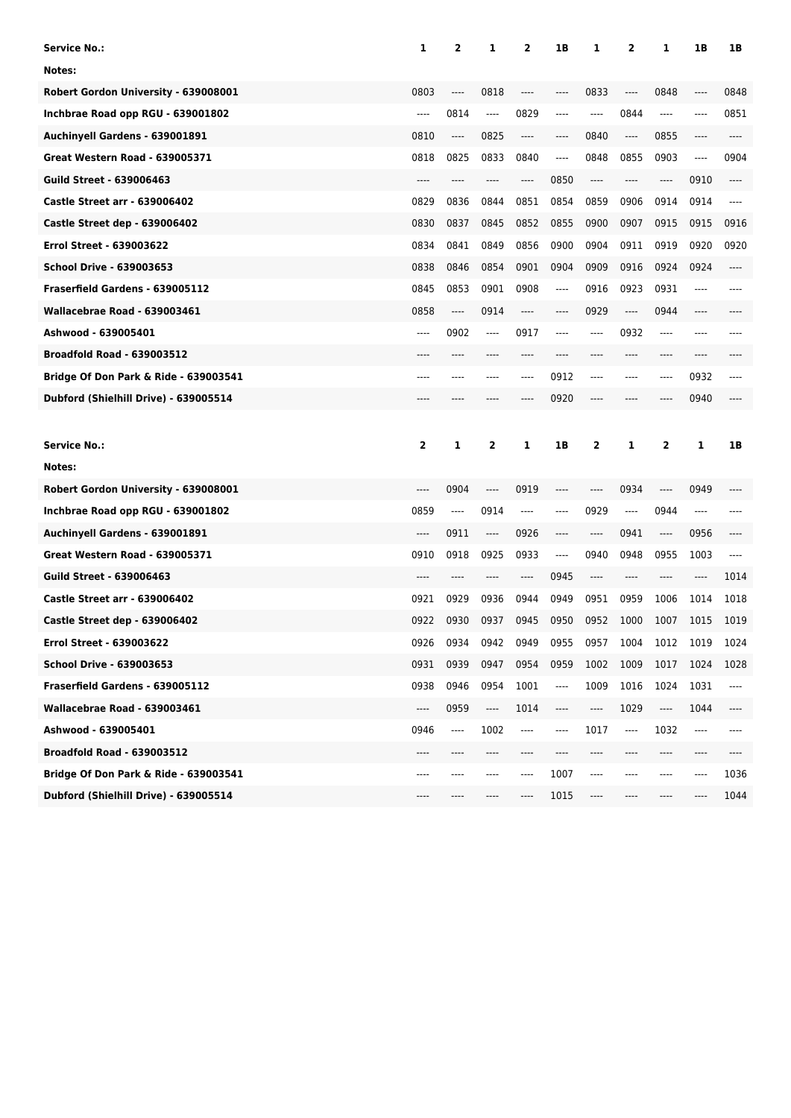| <b>Service No.:</b>                              | 1                             | 2                             | 1                             | 2                             | 1B                                           | 1       | 2                             | 1                             | 1B   | 1B   |
|--------------------------------------------------|-------------------------------|-------------------------------|-------------------------------|-------------------------------|----------------------------------------------|---------|-------------------------------|-------------------------------|------|------|
| Notes:                                           |                               |                               |                               |                               |                                              |         |                               |                               |      |      |
| Robert Gordon University - 639008001             | 0803                          | ----                          | 0818                          | ----                          | $---$                                        | 0833    | ----                          | 0848                          | ---- | 0848 |
| Inchbrae Road opp RGU - 639001802                | $---$                         | 0814                          | $---$                         | 0829                          | $---$                                        | ----    | 0844                          | $\hspace{1.5cm} \textbf{---}$ | ---- | 0851 |
| Auchinyell Gardens - 639001891                   | 0810                          | ----                          | 0825                          | ----                          | $-----$                                      | 0840    | $\cdots$                      | 0855                          | ---- | ---- |
| <b>Great Western Road - 639005371</b>            | 0818                          | 0825                          | 0833                          | 0840                          | $-----$                                      | 0848    | 0855                          | 0903                          | ---- | 0904 |
| Guild Street - 639006463                         | ----                          | ----                          | ----                          | ----                          | 0850                                         | $-----$ | ----                          | $\hspace{1.5cm} \textbf{---}$ | 0910 | ---- |
| <b>Castle Street arr - 639006402</b>             | 0829                          | 0836                          | 0844                          | 0851                          | 0854                                         | 0859    | 0906                          | 0914                          | 0914 | ---- |
| Castle Street dep - 639006402                    | 0830                          | 0837                          | 0845                          | 0852                          | 0855                                         | 0900    | 0907                          | 0915                          | 0915 | 0916 |
| <b>Errol Street - 639003622</b>                  | 0834                          | 0841                          | 0849                          | 0856                          | 0900                                         | 0904    | 0911                          | 0919                          | 0920 | 0920 |
| <b>School Drive - 639003653</b>                  | 0838                          | 0846                          | 0854                          | 0901                          | 0904                                         | 0909    | 0916                          | 0924                          | 0924 | ---- |
| Fraserfield Gardens - 639005112                  | 0845                          | 0853                          | 0901                          | 0908                          | $-----$                                      | 0916    | 0923                          | 0931                          | ---- | ---- |
| Wallacebrae Road - 639003461                     | 0858                          | ----                          | 0914                          | ----                          | $-----$                                      | 0929    | ----                          | 0944                          | ---- |      |
| Ashwood - 639005401                              | ----                          | 0902                          | ----                          | 0917                          |                                              | ----    | 0932                          | $---$                         | ---- |      |
| <b>Broadfold Road - 639003512</b>                |                               |                               |                               | ----                          |                                              |         | ----                          | $-----$                       | ---- |      |
| Bridge Of Don Park & Ride - 639003541            | ----                          | ----                          | ----                          | ----                          | 0912                                         | ----    | ----                          | $\hspace{1.5cm} \textbf{---}$ | 0932 | ---- |
| Dubford (Shielhill Drive) - 639005514            | ----                          | ----                          | ----                          | ----                          | 0920                                         | ----    | ----                          | $---$                         | 0940 | ---- |
|                                                  |                               |                               |                               |                               |                                              |         |                               |                               |      |      |
|                                                  |                               |                               |                               |                               |                                              |         |                               |                               |      |      |
| <b>Service No.:</b>                              | $\overline{\mathbf{2}}$       | 1                             | 2                             | 1                             | 1B                                           | 2       | 1                             | 2                             | 1    | 1B   |
| Notes:                                           |                               |                               |                               |                               |                                              |         |                               |                               |      |      |
| Robert Gordon University - 639008001             | ----                          | 0904                          | ----                          | 0919                          | $---$                                        | ----    | 0934                          | $-----$                       | 0949 |      |
| Inchbrae Road opp RGU - 639001802                | 0859                          | $---$                         | 0914                          | ----                          | $---$                                        | 0929    | $\hspace{1.5cm} \textbf{---}$ | 0944                          | ---- |      |
| Auchinyell Gardens - 639001891                   | ----                          | 0911                          | $\hspace{1.5cm} \textbf{---}$ | 0926                          | ----                                         | ----    | 0941                          | ----                          | 0956 | ---- |
| <b>Great Western Road - 639005371</b>            | 0910                          | 0918                          | 0925                          | 0933                          | $---$                                        | 0940    | 0948                          | 0955                          | 1003 | ---- |
| <b>Guild Street - 639006463</b>                  | ----                          | ----                          | ----                          | ----                          | 0945                                         | ----    | $---$                         | $---$                         | ---- | 1014 |
| <b>Castle Street arr - 639006402</b>             | 0921                          | 0929                          | 0936                          | 0944                          | 0949                                         | 0951    | 0959                          | 1006                          | 1014 | 1018 |
| Castle Street dep - 639006402                    | 0922                          | 0930                          | 0937                          | 0945                          | 0950                                         | 0952    | 1000                          | 1007                          | 1015 | 1019 |
| <b>Errol Street - 639003622</b>                  | 0926                          | 0934                          | 0942                          | 0949                          | 0955                                         | 0957    | 1004                          | 1012                          | 1019 | 1024 |
| <b>School Drive - 639003653</b>                  | 0931                          | 0939                          | 0947                          | 0954                          | 0959                                         | 1002    | 1009                          | 1017                          | 1024 | 1028 |
| Fraserfield Gardens - 639005112                  | 0938                          | 0946                          | 0954                          | 1001                          | ----                                         | 1009    | 1016                          | 1024                          | 1031 | ---- |
| Wallacebrae Road - 639003461                     | $\hspace{1.5cm} \textbf{---}$ | 0959                          | ----                          | 1014                          | $\hspace{1.5cm} \textbf{---} \hspace{1.5cm}$ | ----    | 1029                          | ----                          | 1044 | ---- |
| Ashwood - 639005401                              | 0946                          | $\hspace{1.5cm} \textbf{---}$ | 1002                          | $\hspace{1.5cm} \textbf{---}$ | $\qquad \qquad - - -$                        | 1017    | $\overline{\phantom{a}}$      | 1032                          | ---- | ---- |
| <b>Broadfold Road - 639003512</b>                |                               |                               |                               |                               |                                              |         |                               |                               |      |      |
| <b>Bridge Of Don Park &amp; Ride - 639003541</b> | ----                          | ----                          | ----                          | ----                          | 1007                                         | ----    | ----                          | ----                          | ---- | 1036 |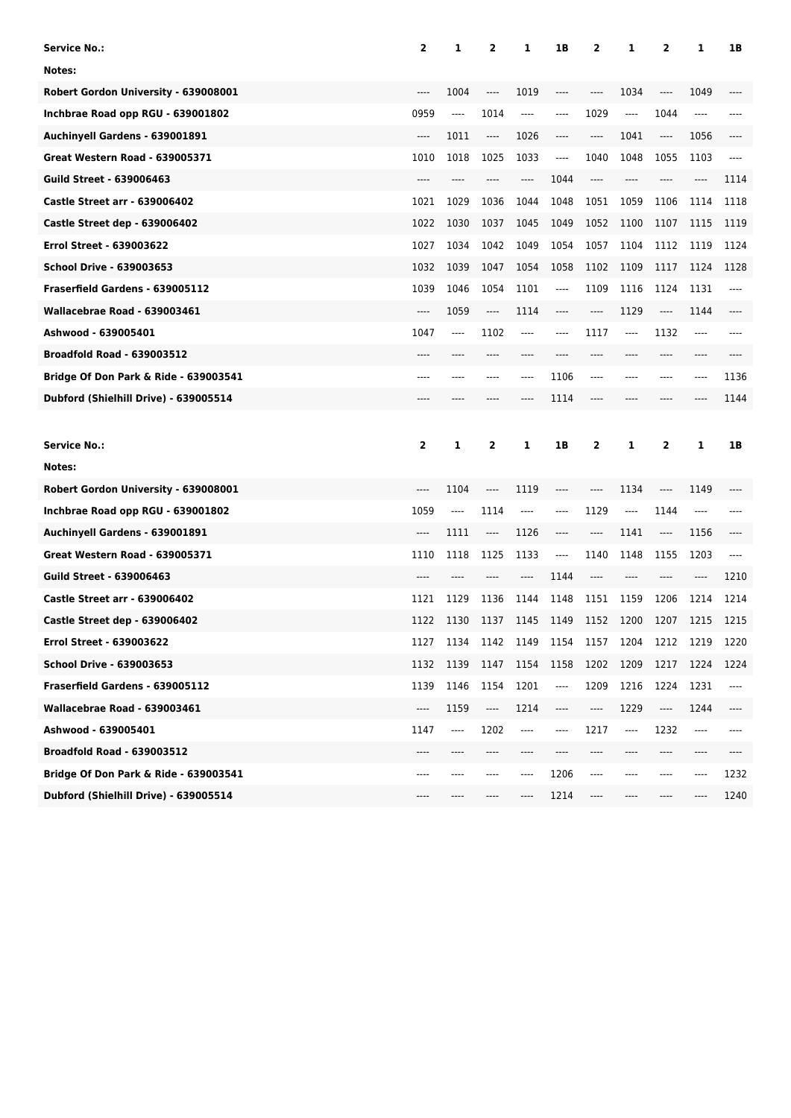| <b>Service No.:</b>                              | 2        | 1                             | $\overline{2}$                | 1        | 1В                            | 2     | 1                             | 2     | 1    | 1B    |
|--------------------------------------------------|----------|-------------------------------|-------------------------------|----------|-------------------------------|-------|-------------------------------|-------|------|-------|
| Notes:                                           |          |                               |                               |          |                               |       |                               |       |      |       |
| Robert Gordon University - 639008001             |          | 1004                          | ----                          | 1019     | ----                          | ----  | 1034                          | $---$ | 1049 |       |
| Inchbrae Road opp RGU - 639001802                | 0959     | $\hspace{1.5cm} \textbf{---}$ | 1014                          | $\cdots$ | ----                          | 1029  | $\cdots$                      | 1044  | ---- |       |
| Auchinyell Gardens - 639001891                   | $\cdots$ | 1011                          | ----                          | 1026     | $---$                         | ----  | 1041                          | ----  | 1056 | ----  |
| <b>Great Western Road - 639005371</b>            | 1010     | 1018                          | 1025                          | 1033     | $\hspace{1.5cm} \textbf{---}$ | 1040  | 1048                          | 1055  | 1103 | $---$ |
| <b>Guild Street - 639006463</b>                  | ----     |                               |                               | ----     | 1044                          | $---$ | ----                          |       | ---- | 1114  |
| <b>Castle Street arr - 639006402</b>             | 1021     | 1029                          | 1036                          | 1044     | 1048                          | 1051  | 1059                          | 1106  | 1114 | 1118  |
| <b>Castle Street dep - 639006402</b>             | 1022     | 1030                          | 1037                          | 1045     | 1049                          | 1052  | 1100                          | 1107  | 1115 | 1119  |
| <b>Errol Street - 639003622</b>                  | 1027     | 1034                          | 1042                          | 1049     | 1054                          | 1057  | 1104                          | 1112  | 1119 | 1124  |
| <b>School Drive - 639003653</b>                  | 1032     | 1039                          | 1047                          | 1054     | 1058                          | 1102  | 1109                          | 1117  | 1124 | 1128  |
| Fraserfield Gardens - 639005112                  | 1039     | 1046                          | 1054                          | 1101     | $\qquad \qquad - - -$         | 1109  | 1116                          | 1124  | 1131 | $---$ |
| Wallacebrae Road - 639003461                     | ----     | 1059                          | ----                          | 1114     | ----                          | ----  | 1129                          | ----  | 1144 | ----  |
| Ashwood - 639005401                              | 1047     | $---$                         | 1102                          | ----     | $---$                         | 1117  | ----                          | 1132  | ---- |       |
| <b>Broadfold Road - 639003512</b>                | ----     |                               |                               |          |                               |       | ----                          | ----  | ---- |       |
| Bridge Of Don Park & Ride - 639003541            | ----     | ----                          | ----                          | ----     | 1106                          | ----  | ----                          | $---$ | ---- | 1136  |
| Dubford (Shielhill Drive) - 639005514            | ----     |                               |                               | ----     | 1114                          | ----  | ----                          |       | ---- | 1144  |
|                                                  |          |                               |                               |          |                               |       |                               |       |      |       |
|                                                  |          |                               |                               |          |                               |       |                               |       |      |       |
| <b>Service No.:</b>                              | 2        | 1                             | 2                             | 1        | 1B                            | 2     | 1                             | 2     | 1    | 1B    |
| Notes:                                           |          |                               |                               |          |                               |       |                               |       |      |       |
| Robert Gordon University - 639008001             | ----     | 1104                          | $-----$                       | 1119     |                               | ----  | 1134                          | ----  | 1149 |       |
| Inchbrae Road opp RGU - 639001802                | 1059     | $\hspace{1.5cm} \textbf{---}$ | 1114                          | ----     | ----                          | 1129  | $\hspace{1.5cm} \textbf{---}$ | 1144  | ---- |       |
| Auchinyell Gardens - 639001891                   | ----     | 1111                          | $\hspace{1.5cm} \textbf{---}$ | 1126     | ----                          | ----  | 1141                          | ----  | 1156 |       |
| <b>Great Western Road - 639005371</b>            | 1110     | 1118                          | 1125                          | 1133     | ----                          | 1140  | 1148                          | 1155  | 1203 | ----  |
| <b>Guild Street - 639006463</b>                  | ----     |                               |                               | ----     | 1144                          | $---$ | ----                          | ----  | ---- | 1210  |
| <b>Castle Street arr - 639006402</b>             | 1121     | 1129                          | 1136                          | 1144     | 1148                          | 1151  | 1159                          | 1206  | 1214 | 1214  |
| Castle Street dep - 639006402                    | 1122     | 1130                          | 1137                          | 1145     | 1149                          | 1152  | 1200                          | 1207  | 1215 | 1215  |
| Errol Street - 639003622                         | 1127     | 1134                          | 1142                          | 1149     | 1154                          | 1157  | 1204                          | 1212  | 1219 | 1220  |
| <b>School Drive - 639003653</b>                  | 1132     | 1139                          | 1147                          | 1154     | 1158                          | 1202  | 1209                          | 1217  | 1224 | 1224  |
| Fraserfield Gardens - 639005112                  | 1139     | 1146                          | 1154                          | 1201     | ----                          | 1209  | 1216                          | 1224  | 1231 | ----  |
| Wallacebrae Road - 639003461                     | ----     | 1159                          | ----                          | 1214     | ----                          | ----  | 1229                          | ----  | 1244 | ----  |
| Ashwood - 639005401                              | 1147     | ----                          | 1202                          | ----     | ----                          | 1217  | ----                          | 1232  | ---- | ----  |
| <b>Broadfold Road - 639003512</b>                |          |                               |                               |          |                               |       |                               |       |      |       |
| <b>Bridge Of Don Park &amp; Ride - 639003541</b> | ----     | ----                          |                               | ----     | 1206                          | ----  | ----                          | ----  | ---- | 1232  |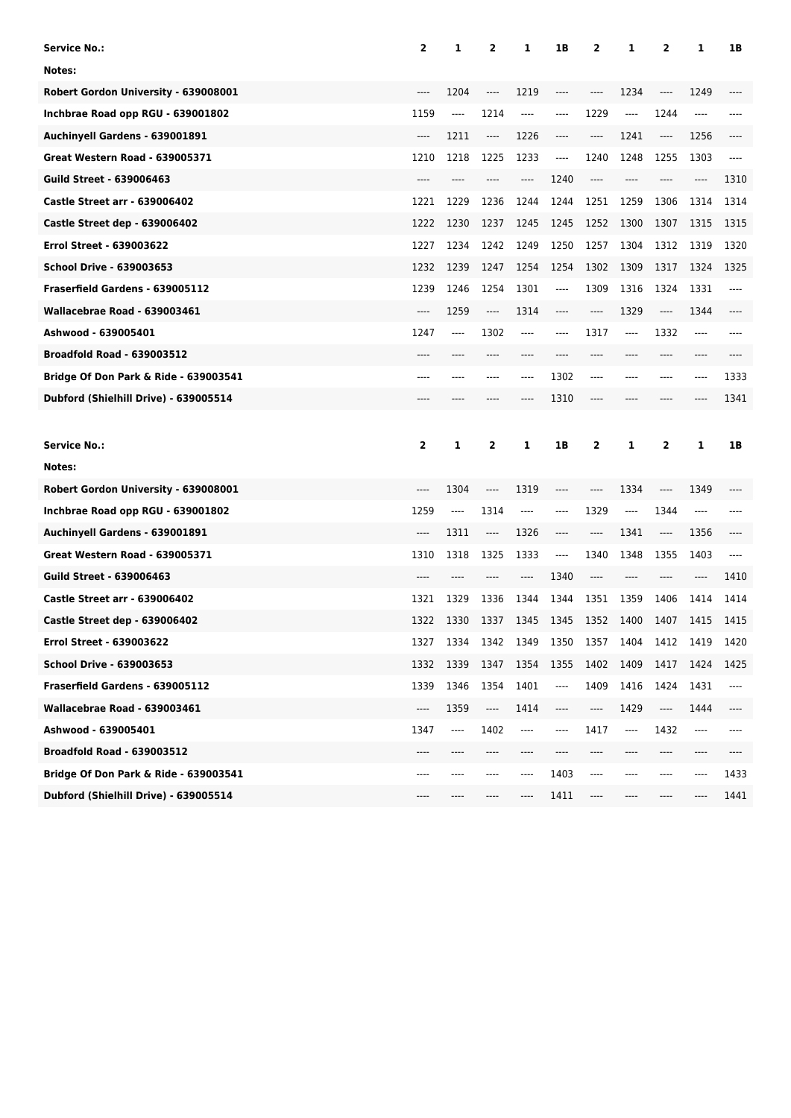| <b>Service No.:</b>                              | 2        | 1                             | $\overline{2}$                | 1        | 1В                            | 2    | 1                             | 2        | 1    | 1B    |
|--------------------------------------------------|----------|-------------------------------|-------------------------------|----------|-------------------------------|------|-------------------------------|----------|------|-------|
| Notes:                                           |          |                               |                               |          |                               |      |                               |          |      |       |
| Robert Gordon University - 639008001             |          | 1204                          | ----                          | 1219     | ----                          | ---- | 1234                          | ----     | 1249 |       |
| Inchbrae Road opp RGU - 639001802                | 1159     | $\hspace{1.5cm} \textbf{---}$ | 1214                          | $\cdots$ | ----                          | 1229 | $\cdots$                      | 1244     | ---- |       |
| Auchinyell Gardens - 639001891                   | $\cdots$ | 1211                          | ----                          | 1226     | $---$                         | ---- | 1241                          | ----     | 1256 |       |
| <b>Great Western Road - 639005371</b>            | 1210     | 1218                          | 1225                          | 1233     | $\hspace{1.5cm} \textbf{---}$ | 1240 | 1248                          | 1255     | 1303 | $---$ |
| <b>Guild Street - 639006463</b>                  |          |                               |                               | ----     | 1240                          | ---- | ----                          |          | ---- | 1310  |
| <b>Castle Street arr - 639006402</b>             | 1221     | 1229                          | 1236                          | 1244     | 1244                          | 1251 | 1259                          | 1306     | 1314 | 1314  |
| <b>Castle Street dep - 639006402</b>             | 1222     | 1230                          | 1237                          | 1245     | 1245                          | 1252 | 1300                          | 1307     | 1315 | 1315  |
| <b>Errol Street - 639003622</b>                  | 1227     | 1234                          | 1242                          | 1249     | 1250                          | 1257 | 1304                          | 1312     | 1319 | 1320  |
| <b>School Drive - 639003653</b>                  | 1232     | 1239                          | 1247                          | 1254     | 1254                          | 1302 | 1309                          | 1317     | 1324 | 1325  |
| Fraserfield Gardens - 639005112                  | 1239     | 1246                          | 1254                          | 1301     | ----                          | 1309 | 1316                          | 1324     | 1331 | $---$ |
| Wallacebrae Road - 639003461                     | $---$    | 1259                          | ----                          | 1314     | ----                          | ---- | 1329                          | ----     | 1344 | ----  |
| Ashwood - 639005401                              | 1247     | ----                          | 1302                          | ----     | $---$                         | 1317 | ----                          | 1332     | ---- |       |
| <b>Broadfold Road - 639003512</b>                |          |                               |                               |          |                               |      | ----                          | ----     | ---- |       |
| Bridge Of Don Park & Ride - 639003541            | ----     | ----                          | ----                          | ----     | 1302                          | ---- | ----                          | $-- - -$ | ---- | 1333  |
| Dubford (Shielhill Drive) - 639005514            | ----     |                               |                               | ----     | 1310                          | ---- | ----                          |          | ---- | 1341  |
|                                                  |          |                               |                               |          |                               |      |                               |          |      |       |
|                                                  |          |                               |                               |          |                               |      |                               |          |      |       |
| <b>Service No.:</b>                              | 2        | 1                             | 2                             | 1        | 1B                            | 2    | 1                             | 2        | 1    | 1B    |
| Notes:                                           |          |                               |                               |          |                               |      |                               |          |      |       |
| Robert Gordon University - 639008001             | ----     | 1304                          | $-----$                       | 1319     |                               | ---- | 1334                          | ----     | 1349 |       |
| Inchbrae Road opp RGU - 639001802                | 1259     | $\hspace{1.5cm} \textbf{---}$ | 1314                          | ----     | ----                          | 1329 | $\hspace{1.5cm} \textbf{---}$ | 1344     | ---- |       |
| Auchinyell Gardens - 639001891                   | ----     | 1311                          | $\hspace{1.5cm} \textbf{---}$ | 1326     | ----                          | ---- | 1341                          | ----     | 1356 |       |
| <b>Great Western Road - 639005371</b>            | 1310     | 1318                          | 1325                          | 1333     | ----                          | 1340 | 1348                          | 1355     | 1403 | ----  |
| <b>Guild Street - 639006463</b>                  |          |                               |                               | ----     | 1340                          | ---- | ----                          |          | ---- | 1410  |
| <b>Castle Street arr - 639006402</b>             | 1321     | 1329                          | 1336                          | 1344     | 1344                          | 1351 | 1359                          | 1406     | 1414 | 1414  |
| Castle Street dep - 639006402                    | 1322     | 1330                          | 1337                          | 1345     | 1345                          | 1352 | 1400                          | 1407     | 1415 | 1415  |
| Errol Street - 639003622                         | 1327     | 1334                          | 1342                          | 1349     | 1350                          | 1357 | 1404                          | 1412     | 1419 | 1420  |
| <b>School Drive - 639003653</b>                  | 1332     | 1339                          | 1347                          | 1354     | 1355                          | 1402 | 1409                          | 1417     | 1424 | 1425  |
| Fraserfield Gardens - 639005112                  | 1339     | 1346                          | 1354                          | 1401     | ----                          | 1409 | 1416                          | 1424     | 1431 | ----  |
| Wallacebrae Road - 639003461                     | ----     | 1359                          | ----                          | 1414     | ----                          | ---- | 1429                          | ----     | 1444 | ----  |
| Ashwood - 639005401                              | 1347     | ----                          | 1402                          | ----     | ----                          | 1417 | ----                          | 1432     | ---- | ----  |
| <b>Broadfold Road - 639003512</b>                |          |                               |                               |          |                               |      |                               |          |      |       |
| <b>Bridge Of Don Park &amp; Ride - 639003541</b> | ----     | ----                          | ----                          | ----     | 1403                          | ---- | ----                          | ----     | ---- | 1433  |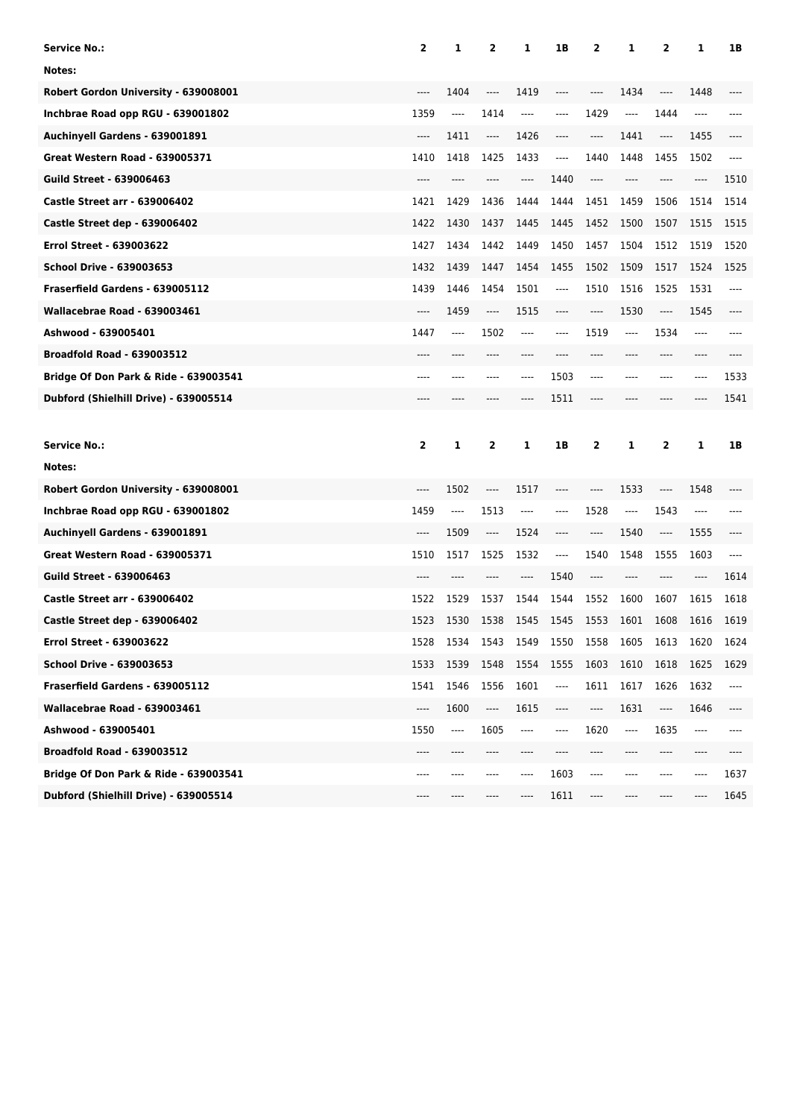| <b>Service No.:</b>                              | $\overline{\mathbf{2}}$ | 1                                            | $\overline{2}$ | 1                             | 1B                                                   | 2    | 1                             | 2                                                    | 1     | 1B   |
|--------------------------------------------------|-------------------------|----------------------------------------------|----------------|-------------------------------|------------------------------------------------------|------|-------------------------------|------------------------------------------------------|-------|------|
| Notes:                                           |                         |                                              |                |                               |                                                      |      |                               |                                                      |       |      |
| Robert Gordon University - 639008001             |                         | 1404                                         | ----           | 1419                          | $---$                                                | ---- | 1434                          | $---$                                                | 1448  |      |
| Inchbrae Road opp RGU - 639001802                | 1359                    | $\hspace{1.5cm} \textbf{---}$                | 1414           | ----                          | $-----$                                              | 1429 | ----                          | 1444                                                 | $---$ |      |
| Auchinyell Gardens - 639001891                   | ----                    | 1411                                         | ----           | 1426                          | $---$                                                | ---- | 1441                          | $\hspace{1.5cm} \textbf{---}$                        | 1455  | ---- |
| Great Western Road - 639005371                   | 1410                    | 1418                                         | 1425           | 1433                          | $\hspace{1.5cm} \textbf{---}$                        | 1440 | 1448                          | 1455                                                 | 1502  | ---- |
| <b>Guild Street - 639006463</b>                  |                         |                                              | ----           | ----                          | 1440                                                 | ---- | ----                          | $---$                                                | ----  | 1510 |
| <b>Castle Street arr - 639006402</b>             | 1421                    | 1429                                         | 1436           | 1444                          | 1444                                                 | 1451 | 1459                          | 1506                                                 | 1514  | 1514 |
| <b>Castle Street dep - 639006402</b>             | 1422                    | 1430                                         | 1437           | 1445                          | 1445                                                 | 1452 | 1500                          | 1507                                                 | 1515  | 1515 |
| <b>Errol Street - 639003622</b>                  | 1427                    | 1434                                         | 1442           | 1449                          | 1450                                                 | 1457 | 1504                          | 1512                                                 | 1519  | 1520 |
| School Drive - 639003653                         | 1432                    | 1439                                         | 1447           | 1454                          | 1455                                                 | 1502 | 1509                          | 1517                                                 | 1524  | 1525 |
| Fraserfield Gardens - 639005112                  | 1439                    | 1446                                         | 1454           | 1501                          | ----                                                 | 1510 | 1516                          | 1525                                                 | 1531  | ---- |
| Wallacebrae Road - 639003461                     | ----                    | 1459                                         | ----           | 1515                          | $\hspace{0.05cm}\rule{0.7pt}{0.1ex}\hspace{0.025cm}$ | ---- | 1530                          | $\hspace{0.05cm}\rule{0.7pt}{0.1ex}\hspace{0.025cm}$ | 1545  | ---- |
| Ashwood - 639005401                              | 1447                    | $---$                                        | 1502           | ----                          | $---$                                                | 1519 | ----                          | 1534                                                 | ----  |      |
| <b>Broadfold Road - 639003512</b>                | ----                    |                                              |                |                               |                                                      |      |                               | $---$                                                | ----  |      |
| Bridge Of Don Park & Ride - 639003541            | ----                    | $-----$                                      | ----           | ----                          | 1503                                                 | ---- | ----                          | $-- - -$                                             | ----  | 1533 |
| Dubford (Shielhill Drive) - 639005514            | ----                    |                                              | ----           | ----                          | 1511                                                 | ---- | ----                          | ----                                                 | ----  | 1541 |
|                                                  |                         |                                              |                |                               |                                                      |      |                               |                                                      |       |      |
|                                                  |                         |                                              |                |                               |                                                      |      |                               |                                                      |       |      |
| Service No.:                                     | 2                       | 1                                            | 2              | 1                             | 1B                                                   | 2    | 1                             | 2                                                    | 1     | 1B   |
| Notes:                                           |                         |                                              |                |                               |                                                      |      |                               |                                                      |       |      |
| Robert Gordon University - 639008001             | $---$                   | 1502                                         | ----           | 1517                          |                                                      | ---- | 1533                          | $---$                                                | 1548  |      |
| Inchbrae Road opp RGU - 639001802                | 1459                    | $\hspace{1.5cm} \textbf{---}$                | 1513           | ----                          | $---$                                                | 1528 | $\hspace{1.5cm} \textbf{---}$ | 1543                                                 | ----  |      |
| Auchinyell Gardens - 639001891                   | $---$                   | 1509                                         | ----           | 1524                          | $\hspace{1.5cm} \textbf{---} \hspace{1.5cm}$         | ---- | 1540                          | $\hspace{1.5cm} \textbf{---}$                        | 1555  | ---- |
| <b>Great Western Road - 639005371</b>            | 1510                    | 1517                                         | 1525           | 1532                          | ----                                                 | 1540 | 1548                          | 1555                                                 | 1603  | ---- |
| <b>Guild Street - 639006463</b>                  | ----                    |                                              | ----           | ----                          | 1540                                                 | ---- | ----                          | $---$                                                | ----  | 1614 |
| <b>Castle Street arr - 639006402</b>             | 1522                    | 1529                                         | 1537           | 1544                          | 1544                                                 | 1552 | 1600                          | 1607                                                 | 1615  | 1618 |
| Castle Street dep - 639006402                    | 1523                    | 1530                                         | 1538           | 1545                          | 1545                                                 | 1553 | 1601                          | 1608                                                 | 1616  | 1619 |
| <b>Errol Street - 639003622</b>                  | 1528                    | 1534                                         | 1543           | 1549                          | 1550                                                 | 1558 | 1605                          | 1613                                                 | 1620  | 1624 |
| <b>School Drive - 639003653</b>                  | 1533                    | 1539                                         | 1548           | 1554                          | 1555                                                 | 1603 | 1610                          | 1618                                                 | 1625  | 1629 |
| Fraserfield Gardens - 639005112                  | 1541                    | 1546                                         | 1556           | 1601                          | ----                                                 | 1611 | 1617                          | 1626                                                 | 1632  | ---- |
| Wallacebrae Road - 639003461                     | ----                    | 1600                                         | ----           | 1615                          | $\hspace{1.5cm} \textbf{---} \hspace{1.5cm}$         | ---- | 1631                          | ----                                                 | 1646  | ---- |
| Ashwood - 639005401                              | 1550                    | $\hspace{1.5cm} \textbf{---} \hspace{1.5cm}$ | 1605           | $\hspace{1.5cm} \textbf{---}$ | $\qquad \qquad - - -$                                | 1620 | ----                          | 1635                                                 | ----  | ---- |
| <b>Broadfold Road - 639003512</b>                |                         |                                              |                |                               |                                                      |      |                               |                                                      |       |      |
| <b>Bridge Of Don Park &amp; Ride - 639003541</b> | ----                    | ----                                         | ----           | ----                          | 1603                                                 | ---- | ----                          | ----                                                 | ----  | 1637 |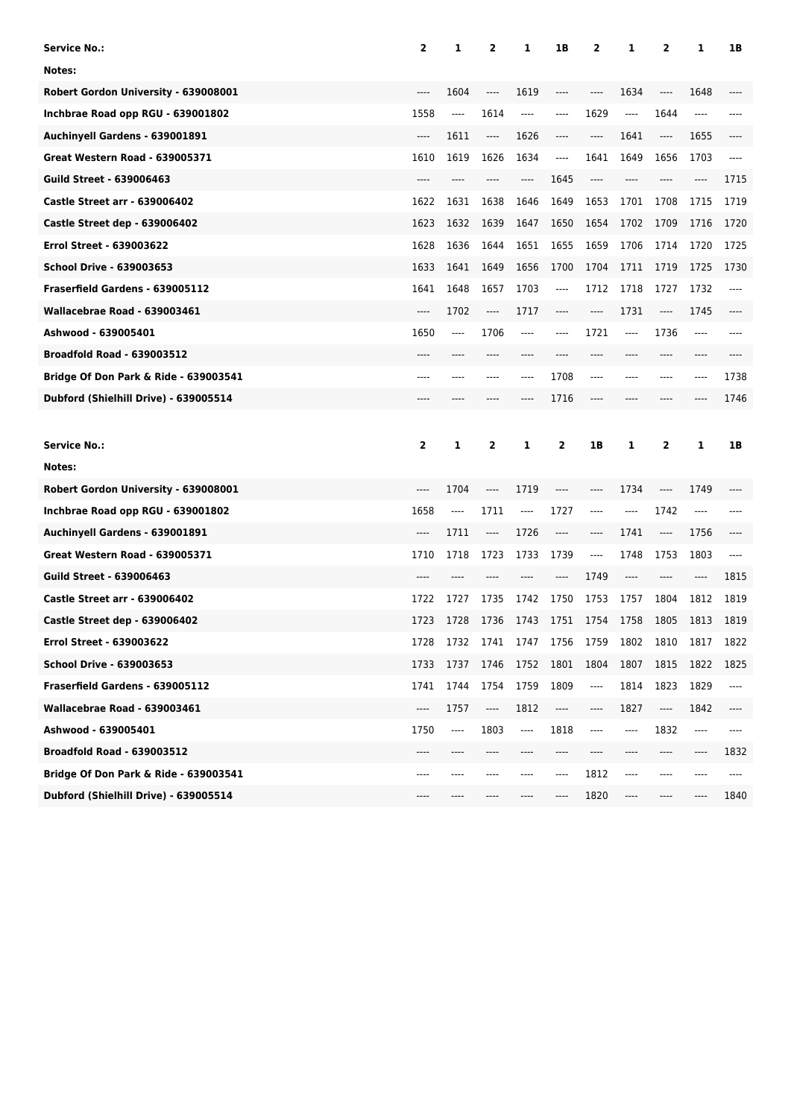| <b>Service No.:</b>                              | 2                             | 1                             | $\overline{2}$                | 1        | 1В                            | 2        | 1        | 2     | 1       | 1B    |
|--------------------------------------------------|-------------------------------|-------------------------------|-------------------------------|----------|-------------------------------|----------|----------|-------|---------|-------|
| Notes:                                           |                               |                               |                               |          |                               |          |          |       |         |       |
| Robert Gordon University - 639008001             |                               | 1604                          | ----                          | 1619     | ----                          | ----     | 1634     | $---$ | 1648    |       |
| Inchbrae Road opp RGU - 639001802                | 1558                          | $\hspace{1.5cm} \textbf{---}$ | 1614                          | $\cdots$ | ----                          | 1629     | $\cdots$ | 1644  | ----    |       |
| Auchinyell Gardens - 639001891                   | $\cdots$                      | 1611                          | ----                          | 1626     | $---$                         | ----     | 1641     | ----  | 1655    |       |
| <b>Great Western Road - 639005371</b>            | 1610                          | 1619                          | 1626                          | 1634     | $\hspace{1.5cm} \textbf{---}$ | 1641     | 1649     | 1656  | 1703    | $---$ |
| <b>Guild Street - 639006463</b>                  |                               |                               |                               | ----     | 1645                          | ----     | ----     |       | ----    | 1715  |
| <b>Castle Street arr - 639006402</b>             | 1622                          | 1631                          | 1638                          | 1646     | 1649                          | 1653     | 1701     | 1708  | 1715    | 1719  |
| <b>Castle Street dep - 639006402</b>             | 1623                          | 1632                          | 1639                          | 1647     | 1650                          | 1654     | 1702     | 1709  | 1716    | 1720  |
| <b>Errol Street - 639003622</b>                  | 1628                          | 1636                          | 1644                          | 1651     | 1655                          | 1659     | 1706     | 1714  | 1720    | 1725  |
| <b>School Drive - 639003653</b>                  | 1633                          | 1641                          | 1649                          | 1656     | 1700                          | 1704     | 1711     | 1719  | 1725    | 1730  |
| Fraserfield Gardens - 639005112                  | 1641                          | 1648                          | 1657                          | 1703     | $\hspace{1.5cm} \textbf{---}$ | 1712     | 1718     | 1727  | 1732    | $---$ |
| Wallacebrae Road - 639003461                     | $---$                         | 1702                          | ----                          | 1717     | ----                          | ----     | 1731     | ----  | 1745    | ----  |
| Ashwood - 639005401                              | 1650                          | ----                          | 1706                          | ----     |                               | 1721     | ----     | 1736  | $-----$ |       |
| <b>Broadfold Road - 639003512</b>                | ----                          |                               |                               |          |                               |          | ----     | ----  | ----    |       |
| Bridge Of Don Park & Ride - 639003541            | ----                          | ----                          | ----                          | ----     | 1708                          | ----     | ----     | $---$ | ----    | 1738  |
| Dubford (Shielhill Drive) - 639005514            | ----                          |                               |                               | ----     | 1716                          | ----     | ----     |       | ----    | 1746  |
|                                                  |                               |                               |                               |          |                               |          |          |       |         |       |
|                                                  |                               |                               |                               |          |                               |          |          |       |         |       |
| <b>Service No.:</b>                              | 2                             | 1                             | 2                             | 1        | 2                             | 1B       | 1        | 2     | 1       | 1B    |
| Notes:                                           |                               |                               |                               |          |                               |          |          |       |         |       |
| Robert Gordon University - 639008001             | ----                          | 1704                          | $-----$                       | 1719     | ----                          | $---$    | 1734     | ----  | 1749    |       |
| Inchbrae Road opp RGU - 639001802                | 1658                          | $\hspace{1.5cm} \textbf{---}$ | 1711                          | ----     | 1727                          | ----     | ----     | 1742  | ----    |       |
| Auchinyell Gardens - 639001891                   | ----                          | 1711                          | $\hspace{1.5cm} \textbf{---}$ | 1726     | ----                          | ----     | 1741     | ----  | 1756    |       |
| <b>Great Western Road - 639005371</b>            | 1710                          | 1718                          | 1723                          | 1733     | 1739                          | $\cdots$ | 1748     | 1753  | 1803    | ----  |
| <b>Guild Street - 639006463</b>                  | ----                          |                               |                               |          | ----                          | 1749     | $---$    | ----  | ----    | 1815  |
| <b>Castle Street arr - 639006402</b>             | 1722                          | 1727                          | 1735                          | 1742     | 1750                          | 1753     | 1757     | 1804  | 1812    | 1819  |
| Castle Street dep - 639006402                    | 1723                          | 1728                          | 1736                          | 1743     | 1751                          | 1754     | 1758     | 1805  | 1813    | 1819  |
| <b>Errol Street - 639003622</b>                  | 1728                          | 1732                          | 1741                          | 1747     | 1756                          | 1759     | 1802     | 1810  | 1817    | 1822  |
| <b>School Drive - 639003653</b>                  | 1733                          | 1737                          | 1746                          | 1752     | 1801                          | 1804     | 1807     | 1815  | 1822    | 1825  |
| Fraserfield Gardens - 639005112                  | 1741                          | 1744                          | 1754                          | 1759     | 1809                          | ----     | 1814     | 1823  | 1829    | ----  |
| Wallacebrae Road - 639003461                     | $\hspace{1.5cm} \textbf{---}$ | 1757                          | ----                          | 1812     | ----                          | ----     | 1827     | ----  | 1842    | ----  |
| Ashwood - 639005401                              | 1750                          | ----                          | 1803                          | ----     | 1818                          | $---$    | ----     | 1832  | ----    | $---$ |
| <b>Broadfold Road - 639003512</b>                |                               |                               |                               |          |                               |          |          |       | ----    | 1832  |
| <b>Bridge Of Don Park &amp; Ride - 639003541</b> | ----                          |                               |                               |          | ----                          | 1812     | ----     | ----  | ----    | ----  |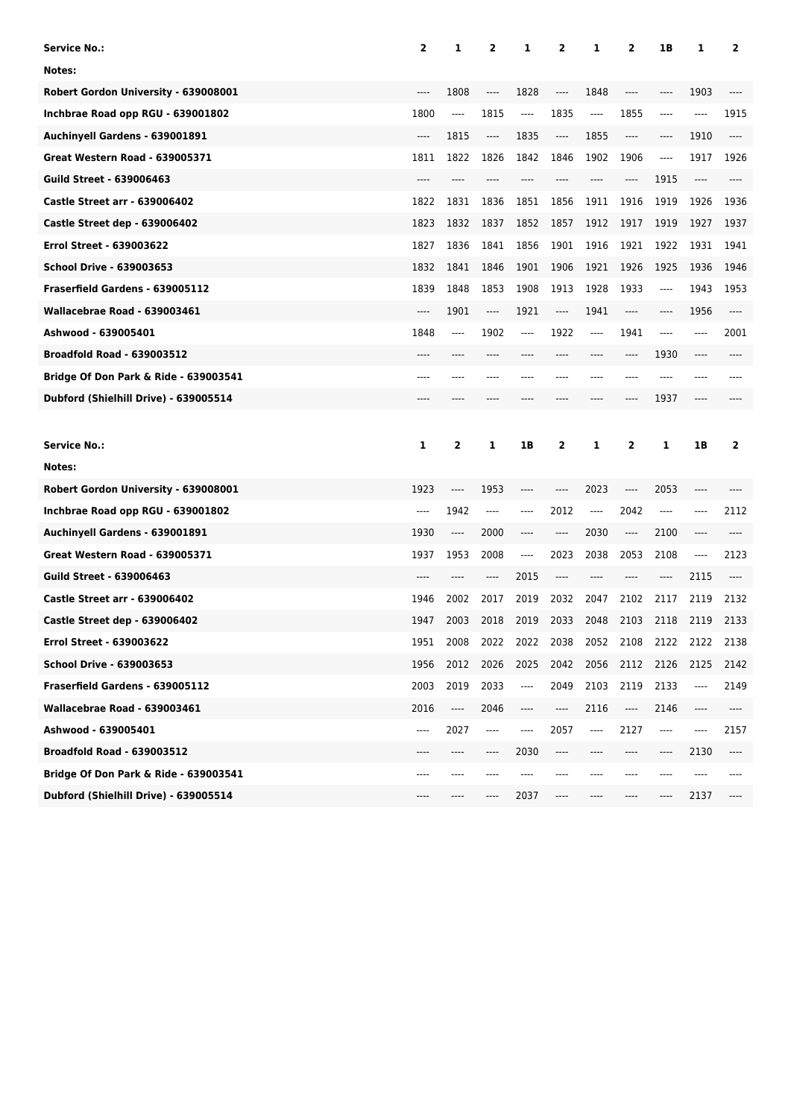| <b>Service No.:</b>                   | 2     | 1     | 2                             | 1        | 2                                                    | 1     | 2        | 1B                            | 1    | 2       |
|---------------------------------------|-------|-------|-------------------------------|----------|------------------------------------------------------|-------|----------|-------------------------------|------|---------|
| Notes:                                |       |       |                               |          |                                                      |       |          |                               |      |         |
| Robert Gordon University - 639008001  | $---$ | 1808  | ----                          | 1828     | ----                                                 | 1848  | ----     | ----                          | 1903 | ----    |
| Inchbrae Road opp RGU - 639001802     | 1800  | ----  | 1815                          | $\cdots$ | 1835                                                 | ----  | 1855     | $-----$                       | ---- | 1915    |
| Auchinyell Gardens - 639001891        | $---$ | 1815  | ----                          | 1835     | $\hspace{0.05cm}\rule{0.7pt}{0.1ex}\hspace{0.025cm}$ | 1855  | $\cdots$ | $\hspace{1.5cm} \textbf{---}$ | 1910 | $-----$ |
| <b>Great Western Road - 639005371</b> | 1811  | 1822  | 1826                          | 1842     | 1846                                                 | 1902  | 1906     | $\hspace{1.5cm} \textbf{---}$ | 1917 | 1926    |
| <b>Guild Street - 639006463</b>       | $---$ | ----  | ----                          | ----     |                                                      | ----  | ----     | 1915                          | ---- | ----    |
| <b>Castle Street arr - 639006402</b>  | 1822  | 1831  | 1836                          | 1851     | 1856                                                 | 1911  | 1916     | 1919                          | 1926 | 1936    |
| Castle Street dep - 639006402         | 1823  | 1832  | 1837                          | 1852     | 1857                                                 | 1912  | 1917     | 1919                          | 1927 | 1937    |
| <b>Errol Street - 639003622</b>       | 1827  | 1836  | 1841                          | 1856     | 1901                                                 | 1916  | 1921     | 1922                          | 1931 | 1941    |
| <b>School Drive - 639003653</b>       | 1832  | 1841  | 1846                          | 1901     | 1906                                                 | 1921  | 1926     | 1925                          | 1936 | 1946    |
| Fraserfield Gardens - 639005112       | 1839  | 1848  | 1853                          | 1908     | 1913                                                 | 1928  | 1933     | $\hspace{1.5cm} \textbf{---}$ | 1943 | 1953    |
| Wallacebrae Road - 639003461          | $---$ | 1901  | ----                          | 1921     | ----                                                 | 1941  | ----     | ----                          | 1956 | $---$   |
| Ashwood - 639005401                   | 1848  | $---$ | 1902                          | ----     | 1922                                                 | $---$ | 1941     | ----                          | ---- | 2001    |
| <b>Broadfold Road - 639003512</b>     | $---$ | $---$ | ----                          |          |                                                      | ----  | $---$    | 1930                          | ---- |         |
| Bridge Of Don Park & Ride - 639003541 | $---$ | ----  | ----                          | ----     | ----                                                 | ----  | ----     | $---$                         | ---- | ----    |
| Dubford (Shielhill Drive) - 639005514 | $---$ | ----  | ----                          | ----     |                                                      | ----  | ----     | 1937                          | ---- |         |
|                                       |       |       |                               |          |                                                      |       |          |                               |      |         |
|                                       |       |       |                               |          |                                                      |       |          |                               |      |         |
| <b>Service No.:</b>                   | 1     | 2     | 1                             | 1B       | 2                                                    | 1     | 2        | 1                             | 1B   | 2       |
| Notes:                                |       |       |                               |          |                                                      |       |          |                               |      |         |
| Robert Gordon University - 639008001  | 1923  | ----  | 1953                          | ----     | ----                                                 | 2023  | ----     | 2053                          | ---- |         |
| Inchbrae Road opp RGU - 639001802     | ----  | 1942  | $\hspace{1.5cm} \textbf{---}$ | ----     | 2012                                                 | ----  | 2042     | $-----$                       | ---- | 2112    |
| Auchinyell Gardens - 639001891        | 1930  | ----  | 2000                          | ----     | ----                                                 | 2030  | ----     | 2100                          | ---- | ----    |
| <b>Great Western Road - 639005371</b> | 1937  | 1953  | 2008                          | ----     | 2023                                                 | 2038  | 2053     | 2108                          | ---- | 2123    |
| <b>Guild Street - 639006463</b>       |       |       | ----                          | 2015     | ----                                                 | ----  | ----     | ----                          | 2115 |         |
| <b>Castle Street arr - 639006402</b>  | 1946  | 2002  | 2017                          | 2019     | 2032                                                 | 2047  | 2102     | 2117                          | 2119 | 2132    |
| Castle Street dep - 639006402         | 1947  | 2003  | 2018                          | 2019     | 2033                                                 | 2048  | 2103     | 2118                          | 2119 | 2133    |
| Errol Street - 639003622              | 1951  | 2008  | 2022                          | 2022     | 2038                                                 | 2052  | 2108     | 2122                          | 2122 | 2138    |
| <b>School Drive - 639003653</b>       | 1956  | 2012  | 2026                          | 2025     | 2042                                                 | 2056  | 2112     | 2126                          | 2125 | 2142    |
| Fraserfield Gardens - 639005112       | 2003  | 2019  | 2033                          | ----     | 2049                                                 | 2103  | 2119     | 2133                          | ---- | 2149    |
| Wallacebrae Road - 639003461          | 2016  | ----  | 2046                          | ----     | ----                                                 | 2116  | ----     | 2146                          | ---- | ----    |
| Ashwood - 639005401                   | ----  | 2027  | $\hspace{1.5cm} \textbf{---}$ | ----     | 2057                                                 | ----  | 2127     | $\hspace{1.5cm} \textbf{---}$ | ---- | 2157    |
| <b>Broadfold Road - 639003512</b>     | ----  |       | ----                          | 2030     | ----                                                 |       | ----     | ----                          | 2130 | ----    |
| Bridge Of Don Park & Ride - 639003541 | ----  | ----  |                               |          |                                                      |       | ----     | ----                          |      |         |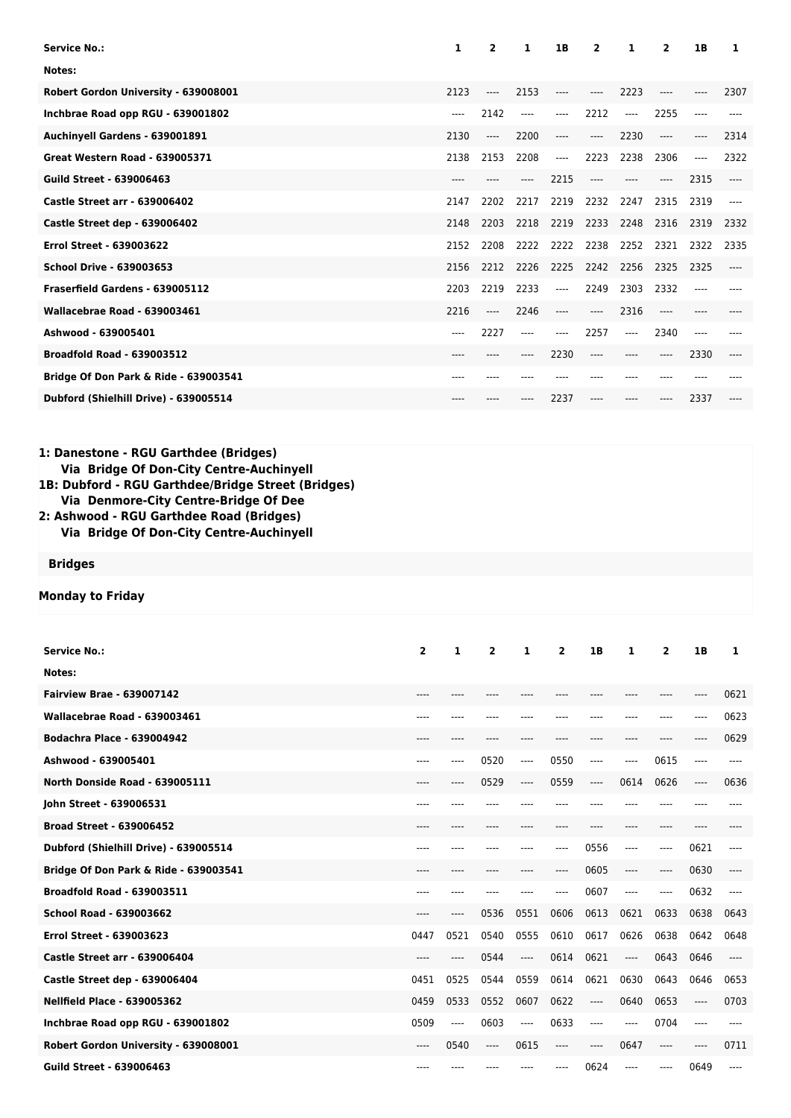| <b>Service No.:</b>                                                                                                                                                                                                                                                      |                | 1    | 2                       | 1     | 1B             | 2    | 1         | 2              | 1В    | 1     |
|--------------------------------------------------------------------------------------------------------------------------------------------------------------------------------------------------------------------------------------------------------------------------|----------------|------|-------------------------|-------|----------------|------|-----------|----------------|-------|-------|
| Notes:                                                                                                                                                                                                                                                                   |                |      |                         |       |                |      |           |                |       |       |
| Robert Gordon University - 639008001                                                                                                                                                                                                                                     | 2123           |      | ----                    | 2153  | $---$          | ---- | 2223      | ----           |       | 2307  |
| Inchbrae Road opp RGU - 639001802                                                                                                                                                                                                                                        | $---$          |      | 2142                    | $---$ | $---$          | 2212 | $---$     | 2255           | $---$ |       |
| Auchinyell Gardens - 639001891                                                                                                                                                                                                                                           | 2130           |      | ----                    | 2200  | $---$          | ---- | 2230      | ----           | ----  | 2314  |
| Great Western Road - 639005371                                                                                                                                                                                                                                           | 2138           |      | 2153                    | 2208  | ----           | 2223 | 2238      | 2306           | $---$ | 2322  |
| <b>Guild Street - 639006463</b>                                                                                                                                                                                                                                          |                |      |                         | ----  | 2215           | ---- | $---$     | ----           | 2315  | $---$ |
| <b>Castle Street arr - 639006402</b>                                                                                                                                                                                                                                     | 2147           |      | 2202                    | 2217  | 2219           | 2232 | 2247      | 2315           | 2319  | $---$ |
| Castle Street dep - 639006402                                                                                                                                                                                                                                            | 2148           |      | 2203                    | 2218  | 2219           | 2233 | 2248      | 2316           | 2319  | 2332  |
| <b>Errol Street - 639003622</b>                                                                                                                                                                                                                                          |                | 2152 | 2208                    | 2222  | 2222           | 2238 | 2252      | 2321           | 2322  | 2335  |
| <b>School Drive - 639003653</b>                                                                                                                                                                                                                                          | 2156           |      | 2212                    | 2226  | 2225           | 2242 | 2256      | 2325           | 2325  | $---$ |
| Fraserfield Gardens - 639005112                                                                                                                                                                                                                                          | 2203           |      | 2219                    | 2233  | $---$          | 2249 | 2303      | 2332           | $---$ | $---$ |
| Wallacebrae Road - 639003461                                                                                                                                                                                                                                             | 2216           |      | ----                    | 2246  | $---$          | ---- | 2316      | ----           | ----  |       |
| Ashwood - 639005401                                                                                                                                                                                                                                                      | ----           |      | 2227                    | ----  | ----           | 2257 | ----      | 2340           | ----  |       |
| <b>Broadfold Road - 639003512</b>                                                                                                                                                                                                                                        |                |      |                         | ----  | 2230           | ---- | $---$     | ----           | 2330  |       |
| Bridge Of Don Park & Ride - 639003541                                                                                                                                                                                                                                    |                |      |                         |       |                | ---- | $- - - -$ | ----           |       |       |
| Dubford (Shielhill Drive) - 639005514                                                                                                                                                                                                                                    |                |      |                         |       | 2237           | ---- | ----      |                | 2337  |       |
|                                                                                                                                                                                                                                                                          |                |      |                         |       |                |      |           |                |       |       |
| 1: Danestone - RGU Garthdee (Bridges)<br>Via Bridge Of Don-City Centre-Auchinyell<br>1B: Dubford - RGU Garthdee/Bridge Street (Bridges)<br>Via Denmore-City Centre-Bridge Of Dee<br>2: Ashwood - RGU Garthdee Road (Bridges)<br>Via Bridge Of Don-City Centre-Auchinyell |                |      |                         |       |                |      |           |                |       |       |
| <b>Bridges</b>                                                                                                                                                                                                                                                           |                |      |                         |       |                |      |           |                |       |       |
| <b>Monday to Friday</b>                                                                                                                                                                                                                                                  |                |      |                         |       |                |      |           |                |       |       |
| <b>Service No.:</b><br>Notes:                                                                                                                                                                                                                                            | $\overline{2}$ | 1    | $\overline{\mathbf{2}}$ | 1     | $\overline{2}$ | 1B   | 1         | $\overline{2}$ | 1B    | 1     |
| <b>Fairview Brae - 639007142</b>                                                                                                                                                                                                                                         |                |      |                         |       |                |      |           |                |       | 0621  |

**Guild Street - 639006463** ---- ---- ---- ---- ---- 0624 ---- ---- 0649 ----

| Wallacebrae Road - 639003461          |           |      |          |                          |      |       |       |       |      | 0623  |
|---------------------------------------|-----------|------|----------|--------------------------|------|-------|-------|-------|------|-------|
| <b>Bodachra Place - 639004942</b>     | ----      |      |          |                          |      |       |       |       |      | 0629  |
| Ashwood - 639005401                   | ----      | ---- | 0520     | $---$                    | 0550 | ----  | ----  | 0615  | ---- |       |
| North Donside Road - 639005111        | ----      | ---- | 0529     | $---$                    | 0559 | $---$ | 0614  | 0626  | ---- | 0636  |
| John Street - 639006531               | ----      |      |          |                          |      |       |       |       |      |       |
| <b>Broad Street - 639006452</b>       | $----$    | ---- |          |                          |      |       | ----  | ----  |      |       |
| Dubford (Shielhill Drive) - 639005514 | $---$     | ---- |          |                          | ---- | 0556  | $---$ | $---$ | 0621 | ----  |
| Bridge Of Don Park & Ride - 639003541 | $----$    |      |          |                          | ---- | 0605  | ----  | $---$ | 0630 | ----  |
| <b>Broadfold Road - 639003511</b>     |           |      |          |                          |      | 0607  | $---$ | $---$ | 0632 |       |
| <b>School Road - 639003662</b>        | $- - - -$ | ---- | 0536     | 0551                     | 0606 | 0613  | 0621  | 0633  | 0638 | 0643  |
| <b>Errol Street - 639003623</b>       | 0447      | 0521 | 0540     | 0555                     | 0610 | 0617  | 0626  | 0638  | 0642 | 0648  |
| <b>Castle Street arr - 639006404</b>  | ----      |      | 0544     | $\overline{\phantom{a}}$ | 0614 | 0621  | $---$ | 0643  | 0646 | $---$ |
| Castle Street dep - 639006404         | 0451      | 0525 | 0544     | 0559                     | 0614 | 0621  | 0630  | 0643  | 0646 | 0653  |
| <b>Nellfield Place - 639005362</b>    | 0459      | 0533 | 0552     | 0607                     | 0622 | $---$ | 0640  | 0653  | ---- | 0703  |
| Inchbrae Road opp RGU - 639001802     | 0509      | ---- | 0603     | ----                     | 0633 | ----  | $---$ | 0704  | ---- |       |
| Robert Gordon University - 639008001  | ----      | 0540 | $\cdots$ | 0615                     | ---- | ----  | 0647  | $---$ | ---- | 0711  |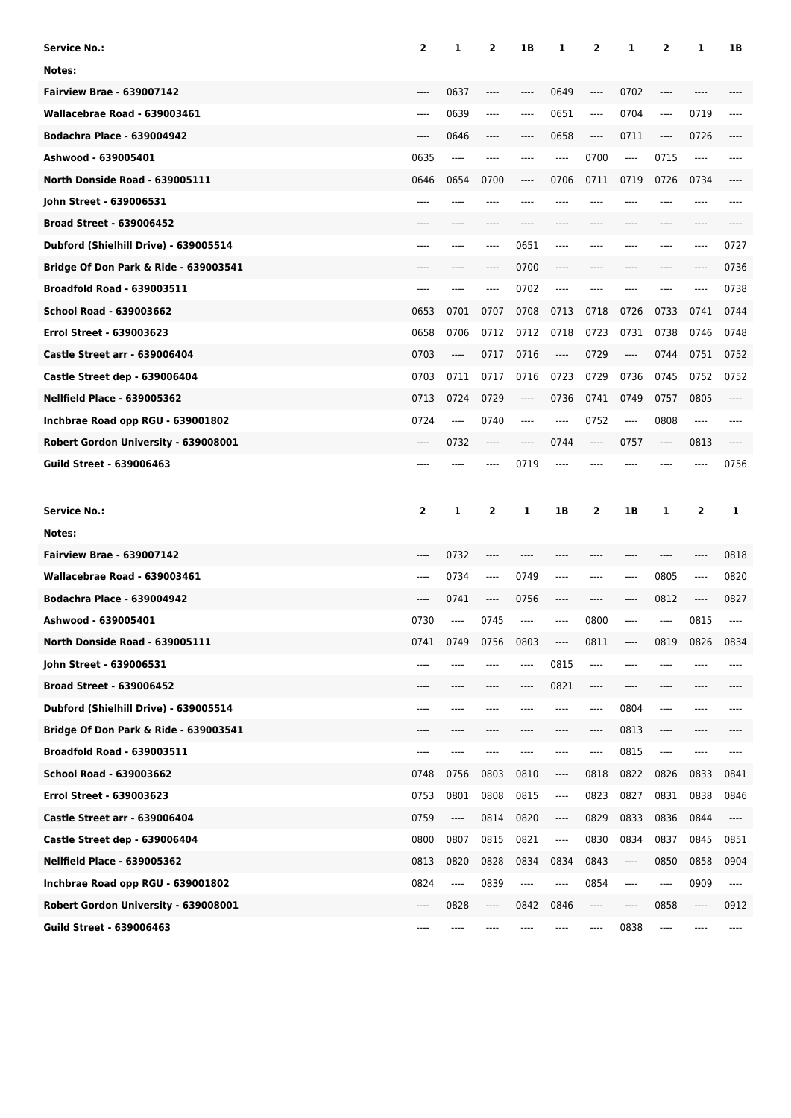| <b>Service No.:</b>                              | 2            | 1    | $\overline{2}$                | 1B   | 1    | 2       | 1       | $\overline{2}$ | 1    | 1B       |
|--------------------------------------------------|--------------|------|-------------------------------|------|------|---------|---------|----------------|------|----------|
| Notes:                                           |              |      |                               |      |      |         |         |                |      |          |
| <b>Fairview Brae - 639007142</b>                 | ----         | 0637 | ----                          | ---- | 0649 | ----    | 0702    | ----           |      |          |
| Wallacebrae Road - 639003461                     | ----         | 0639 | $-----$                       | ---- | 0651 | $-----$ | 0704    | ----           | 0719 |          |
| <b>Bodachra Place - 639004942</b>                | ----         | 0646 | $\hspace{1.5cm} \textbf{---}$ | ---- | 0658 | ----    | 0711    | ----           | 0726 |          |
| Ashwood - 639005401                              | 0635         | ---- | ----                          | ---- | ---- | 0700    | ----    | 0715           | ---- |          |
| North Donside Road - 639005111                   | 0646         | 0654 | 0700                          | ---- | 0706 | 0711    | 0719    | 0726           | 0734 |          |
| John Street - 639006531                          | ----         |      |                               |      |      |         | ----    |                | ---- |          |
| <b>Broad Street - 639006452</b>                  |              |      |                               | ---- |      |         |         |                | ---- |          |
| Dubford (Shielhill Drive) - 639005514            | ----         |      |                               | 0651 |      |         |         | ----           | ---- | 0727     |
| Bridge Of Don Park & Ride - 639003541            |              |      |                               | 0700 |      |         |         |                | ---- | 0736     |
| <b>Broadfold Road - 639003511</b>                | ----         | ---- | ----                          | 0702 | ---- |         |         |                | ---- | 0738     |
| <b>School Road - 639003662</b>                   | 0653         | 0701 | 0707                          | 0708 | 0713 | 0718    | 0726    | 0733           | 0741 | 0744     |
| <b>Errol Street - 639003623</b>                  | 0658         | 0706 | 0712                          | 0712 | 0718 | 0723    | 0731    | 0738           | 0746 | 0748     |
| <b>Castle Street arr - 639006404</b>             | 0703         | ---- | 0717                          | 0716 | ---- | 0729    | ----    | 0744           | 0751 | 0752     |
| Castle Street dep - 639006404                    | 0703         | 0711 | 0717                          | 0716 | 0723 | 0729    | 0736    | 0745           | 0752 | 0752     |
| <b>Nellfield Place - 639005362</b>               | 0713         | 0724 | 0729                          | ---- | 0736 | 0741    | 0749    | 0757           | 0805 | ----     |
| Inchbrae Road opp RGU - 639001802                | 0724         | ---- | 0740                          | ---- | ---- | 0752    | $-----$ | 0808           | ---- |          |
| Robert Gordon University - 639008001             | ----         | 0732 | $\cdots$                      | ---- | 0744 | $-----$ | 0757    | ----           | 0813 |          |
| <b>Guild Street - 639006463</b>                  |              |      |                               | 0719 |      |         |         |                |      | 0756     |
|                                                  |              |      |                               |      |      |         |         |                |      |          |
|                                                  |              |      |                               |      |      |         |         |                |      |          |
| <b>Service No.:</b>                              | $\mathbf{2}$ | 1    | 2                             | 1    | 1B   | 2       | 1B      | 1              | 2    | 1        |
| Notes:                                           |              |      |                               |      |      |         |         |                |      |          |
| <b>Fairview Brae - 639007142</b>                 | ----         | 0732 | $---$                         | ---- |      |         | ----    | ----           | ---- | 0818     |
| Wallacebrae Road - 639003461                     | ----         | 0734 | $\cdots$                      | 0749 | ---- | $---$   | $-----$ | 0805           | ---- | 0820     |
| <b>Bodachra Place - 639004942</b>                | ----         | 0741 | ----                          | 0756 | ---- | $---$   | ----    | 0812           | ---- | 0827     |
| Ashwood - 639005401                              | 0730         | ---- | 0745                          | ---- | ---- | 0800    | ----    | ----           | 0815 | ----     |
| North Donside Road - 639005111                   | 0741         | 0749 | 0756                          | 0803 | ---- | 0811    | ----    | 0819           | 0826 | 0834     |
| John Street - 639006531                          | ----         | ---- | ----                          | ---- | 0815 | ----    | ----    | ----           |      |          |
| <b>Broad Street - 639006452</b>                  | ----         | ---- | ----                          | ---- | 0821 | $---$   | ----    | ----           | ---- | ----     |
| Dubford (Shielhill Drive) - 639005514            | ----         | ---- | ----                          | ---- | ---- | ----    | 0804    | ----           | ---- |          |
| <b>Bridge Of Don Park &amp; Ride - 639003541</b> | ----         | ---- | $-----$                       | ---- | ---- | ----    | 0813    | ----           | ---- |          |
| <b>Broadfold Road - 639003511</b>                | ----         | ---- | ----                          | ---- | ---- | ----    | 0815    | ----           | ---- |          |
| School Road - 639003662                          | 0748         | 0756 | 0803                          | 0810 | ---- | 0818    | 0822    | 0826           | 0833 | 0841     |
| Errol Street - 639003623                         | 0753         | 0801 | 0808                          | 0815 | ---- | 0823    | 0827    | 0831           | 0838 | 0846     |
| <b>Castle Street arr - 639006404</b>             | 0759         | ---- | 0814                          | 0820 | ---- | 0829    | 0833    | 0836           | 0844 | ----     |
| Castle Street dep - 639006404                    | 0800         | 0807 | 0815                          | 0821 | ---- | 0830    | 0834    | 0837           | 0845 | 0851     |
| <b>Nellfield Place - 639005362</b>               | 0813         | 0820 | 0828                          | 0834 | 0834 | 0843    | ----    | 0850           | 0858 | 0904     |
| Inchbrae Road opp RGU - 639001802                | 0824         | ---- | 0839                          | ---- | ---- | 0854    | ----    | ----           | 0909 | $\cdots$ |
| Robert Gordon University - 639008001             | ----         | 0828 | ----                          | 0842 | 0846 | ----    | ----    | 0858           | ---- | 0912     |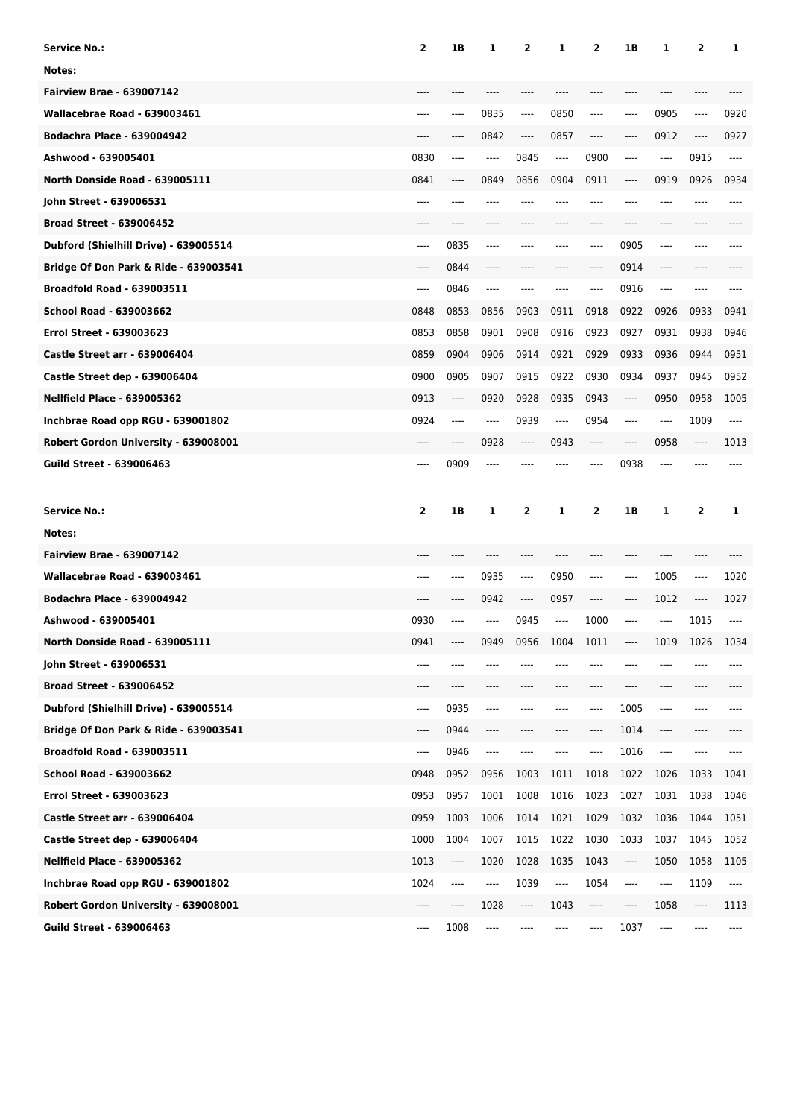| <b>Service No.:</b>                   | $\overline{\mathbf{2}}$ | 1B                              | 1                             | 2        | 1            | 2       | 1B      | 1            | 2    | 1        |
|---------------------------------------|-------------------------|---------------------------------|-------------------------------|----------|--------------|---------|---------|--------------|------|----------|
| Notes:                                |                         |                                 |                               |          |              |         |         |              |      |          |
| <b>Fairview Brae - 639007142</b>      |                         |                                 |                               | ----     |              |         | ----    |              | ---- |          |
| Wallacebrae Road - 639003461          | ----                    | ----                            | 0835                          | $\cdots$ | 0850         | $-----$ | $-----$ | 0905         | ---- | 0920     |
| <b>Bodachra Place - 639004942</b>     | $---$                   | ----                            | 0842                          | ----     | 0857         | $-----$ | ----    | 0912         | ---- | 0927     |
| Ashwood - 639005401                   | 0830                    | ----                            | $---$                         | 0845     | $-----$      | 0900    | $-----$ | ----         | 0915 | $---$    |
| North Donside Road - 639005111        | 0841                    | ----                            | 0849                          | 0856     | 0904         | 0911    | ----    | 0919         | 0926 | 0934     |
| John Street - 639006531               | $---$                   | ----                            | ----                          | ----     | ----         | $---$   | ----    | ----         | ---- | ----     |
| <b>Broad Street - 639006452</b>       | $---$                   | ----                            | $---$                         | ----     | ----         | $---$   | $---$   | ----         | ---- |          |
| Dubford (Shielhill Drive) - 639005514 | $---$                   | 0835                            | $---$                         | ----     | ----         | $---$   | 0905    | ----         | ---- |          |
| Bridge Of Don Park & Ride - 639003541 | $---$                   | 0844                            | $---$                         | ----     | ----         | ----    | 0914    | ----         | ---- |          |
| <b>Broadfold Road - 639003511</b>     | ----                    | 0846                            | $\hspace{1.5cm} \textbf{---}$ | ----     | ----         | $---$   | 0916    | ----         | ---- |          |
| School Road - 639003662               | 0848                    | 0853                            | 0856                          | 0903     | 0911         | 0918    | 0922    | 0926         | 0933 | 0941     |
| <b>Errol Street - 639003623</b>       | 0853                    | 0858                            | 0901                          | 0908     | 0916         | 0923    | 0927    | 0931         | 0938 | 0946     |
| <b>Castle Street arr - 639006404</b>  | 0859                    | 0904                            | 0906                          | 0914     | 0921         | 0929    | 0933    | 0936         | 0944 | 0951     |
| Castle Street dep - 639006404         | 0900                    | 0905                            | 0907                          | 0915     | 0922         | 0930    | 0934    | 0937         | 0945 | 0952     |
| <b>Nellfield Place - 639005362</b>    | 0913                    | ----                            | 0920                          | 0928     | 0935         | 0943    | ----    | 0950         | 0958 | 1005     |
| Inchbrae Road opp RGU - 639001802     | 0924                    | ----                            | $---$                         | 0939     | ----         | 0954    | $-----$ | ----         | 1009 | $---$    |
| Robert Gordon University - 639008001  | $---$                   | ----                            | 0928                          | ----     | 0943         | $-----$ | $---$   | 0958         | ---- | 1013     |
| <b>Guild Street - 639006463</b>       | $---$                   | 0909                            | $---$                         |          |              | ----    | 0938    | ----         | ---- |          |
|                                       |                         |                                 |                               |          |              |         |         |              |      |          |
|                                       |                         |                                 |                               |          |              |         |         |              |      |          |
| <b>Service No.:</b>                   | $\mathbf{2}$            | 1B                              | 1                             | 2        | 1            | 2       | 1B      | 1            | 2    | 1        |
| Notes:                                |                         |                                 |                               |          |              |         |         |              |      |          |
| <b>Fairview Brae - 639007142</b>      |                         |                                 |                               | ----     |              |         |         |              | ---- |          |
| Wallacebrae Road - 639003461          |                         | ----                            |                               | ----     |              | ----    | ----    |              | ---- |          |
| <b>Bodachra Place - 639004942</b>     | ----                    | ----                            | 0935                          | ----     | 0950<br>0957 | ----    | ----    | 1005         | ---- | 1020     |
| Ashwood - 639005401                   |                         |                                 | 0942<br>----                  |          | ----         |         | ----    | 1012<br>---- |      | 1027     |
|                                       | 0930                    |                                 |                               | 0945     |              | 1000    |         |              | 1015 |          |
| North Donside Road - 639005111        | 0941                    | ----                            | 0949                          | 0956     | 1004         | 1011    | ----    | 1019         | 1026 | 1034     |
| John Street - 639006531               | ----                    |                                 |                               |          |              |         |         |              |      |          |
| <b>Broad Street - 639006452</b>       | ----                    | ----                            |                               | ----     |              | ----    | ----    | ----         | ---- |          |
| Dubford (Shielhill Drive) - 639005514 | ----                    | 0935                            | $\hspace{1.5cm} \textbf{---}$ | ----     |              | ----    | 1005    | ----         | ---- |          |
| Bridge Of Don Park & Ride - 639003541 | ----                    | 0944                            | ----                          | ----     |              | ----    | 1014    | ----         | ---- |          |
| <b>Broadfold Road - 639003511</b>     | ----                    | 0946                            | ----                          | ----     |              | ----    | 1016    | ----         | ---- |          |
| School Road - 639003662               | 0948                    | 0952                            | 0956                          | 1003     | 1011         | 1018    | 1022    | 1026         | 1033 | 1041     |
| Errol Street - 639003623              | 0953                    | 0957                            | 1001                          | 1008     | 1016         | 1023    | 1027    | 1031         | 1038 | 1046     |
| <b>Castle Street arr - 639006404</b>  | 0959                    | 1003                            | 1006                          | 1014     | 1021         | 1029    | 1032    | 1036         | 1044 | 1051     |
| Castle Street dep - 639006404         | 1000                    | 1004                            | 1007                          | 1015     | 1022         | 1030    | 1033    | 1037         | 1045 | 1052     |
| <b>Nellfield Place - 639005362</b>    | 1013                    | $\hspace{0.015cm} \textbf{---}$ | 1020                          | 1028     | 1035         | 1043    | ----    | 1050         | 1058 | 1105     |
| Inchbrae Road opp RGU - 639001802     | 1024                    | ----                            | ----                          | 1039     | ----         | 1054    | ----    | ----         | 1109 | $\cdots$ |
| Robert Gordon University - 639008001  | ----                    | ----                            | 1028                          | ----     | 1043         | ----    | ----    | 1058         | ---- | 1113     |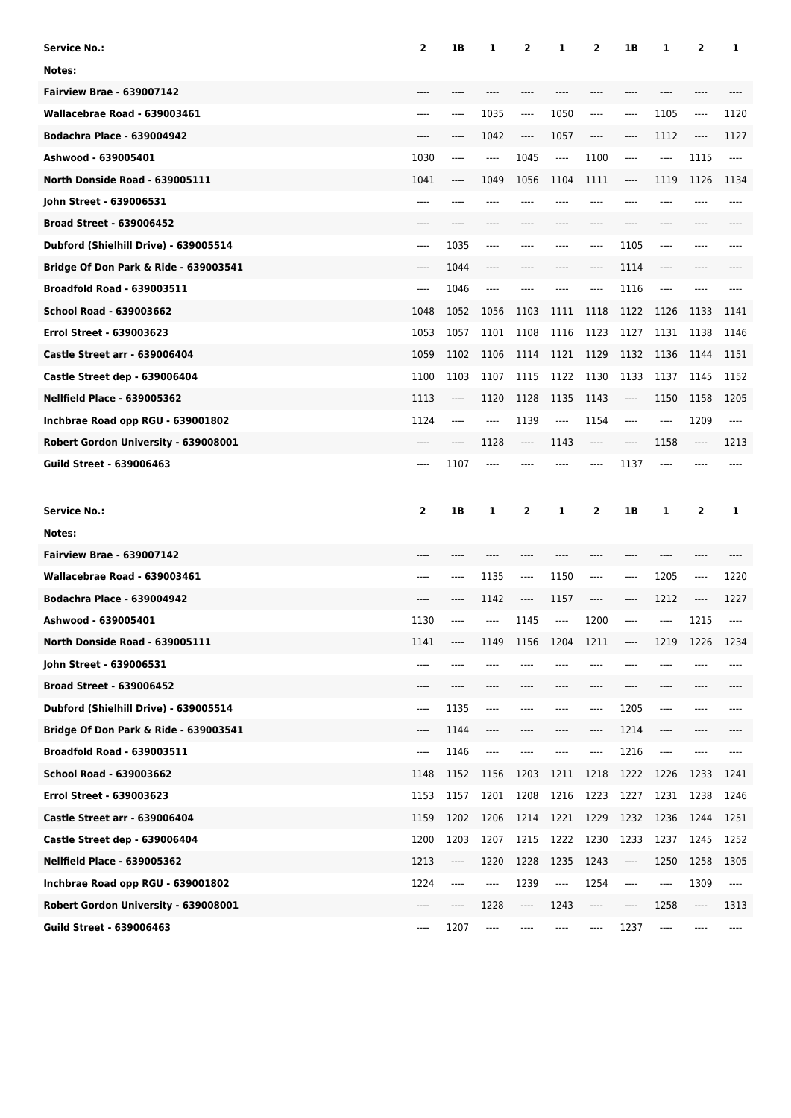| <b>Service No.:</b>                                                       | $\overline{\mathbf{2}}$ | 1B           | 1                             | 2            | 1            | 2                                     | 1B           | 1                                     | 2                             | 1            |
|---------------------------------------------------------------------------|-------------------------|--------------|-------------------------------|--------------|--------------|---------------------------------------|--------------|---------------------------------------|-------------------------------|--------------|
| Notes:                                                                    |                         |              |                               |              |              |                                       |              |                                       |                               |              |
| <b>Fairview Brae - 639007142</b>                                          |                         |              |                               |              |              |                                       | ----         |                                       |                               |              |
| Wallacebrae Road - 639003461                                              | ----                    | ----         | 1035                          | ----         | 1050         | $\cdots$                              | ----         | 1105                                  | ----                          | 1120         |
| <b>Bodachra Place - 639004942</b>                                         | $---$                   | ----         | 1042                          | $\cdots$     | 1057         | $\hspace{1.5cm} \textbf{---}$         | ----         | 1112                                  | $---$                         | 1127         |
| Ashwood - 639005401                                                       | 1030                    | ----         | $---$                         | 1045         | $\cdots$     | 1100                                  | $-----$      | ----                                  | 1115                          | ----         |
| North Donside Road - 639005111                                            | 1041                    | ----         | 1049                          | 1056         | 1104         | 1111                                  | ----         | 1119                                  | 1126                          | 1134         |
| John Street - 639006531                                                   | ----                    | ----         | ----                          | ----         | ----         | $---$                                 | $---$        |                                       | ----                          | ----         |
| <b>Broad Street - 639006452</b>                                           | $---$                   | ----         | $---$                         | ----         | ----         | $---$                                 | $---$        | ----                                  | ----                          |              |
| Dubford (Shielhill Drive) - 639005514                                     | $---$                   | 1035         | $---$                         | ----         | ----         | $---$                                 | 1105         | ----                                  | ----                          |              |
| Bridge Of Don Park & Ride - 639003541                                     | $---$                   | 1044         | $---$                         | ----         | ----         | $-----$                               | 1114         | ----                                  | ----                          |              |
| <b>Broadfold Road - 639003511</b>                                         | ----                    | 1046         | $\hspace{1.5cm} \textbf{---}$ | ----         | ----         | $-----$                               | 1116         | ----                                  | $---$                         |              |
| <b>School Road - 639003662</b>                                            | 1048                    | 1052         | 1056                          | 1103         | 1111         | 1118                                  | 1122         | 1126                                  | 1133                          | 1141         |
| <b>Errol Street - 639003623</b>                                           | 1053                    | 1057         | 1101                          | 1108         | 1116         | 1123                                  | 1127         | 1131                                  | 1138                          | 1146         |
| <b>Castle Street arr - 639006404</b>                                      | 1059                    | 1102         | 1106                          | 1114         | 1121         | 1129                                  | 1132         | 1136                                  | 1144                          | 1151         |
| Castle Street dep - 639006404                                             | 1100                    | 1103         | 1107                          | 1115         | 1122         | 1130                                  | 1133         | 1137                                  | 1145                          | 1152         |
| <b>Nellfield Place - 639005362</b>                                        | 1113                    | ----         | 1120                          | 1128         | 1135         | 1143                                  | ----         | 1150                                  | 1158                          | 1205         |
| Inchbrae Road opp RGU - 639001802                                         | 1124                    | ----         | $---$                         | 1139         | $---$        | 1154                                  | $-----$      | ----                                  | 1209                          | ----         |
| Robert Gordon University - 639008001                                      | $---$                   | ----         | 1128                          | ----         | 1143         | $---$                                 | $---$        | 1158                                  | $\hspace{1.5cm} \textbf{---}$ | 1213         |
| <b>Guild Street - 639006463</b>                                           | $---$                   | 1107         | $---$                         |              |              | $---$                                 | 1137         | $---$                                 |                               |              |
|                                                                           |                         |              |                               |              |              |                                       |              |                                       |                               |              |
|                                                                           |                         |              |                               |              |              |                                       |              |                                       |                               |              |
| <b>Service No.:</b>                                                       | $\mathbf{2}$            | 1B           | 1                             | 2            | 1            | 2                                     | 1B           | 1                                     | 2                             | 1            |
| Notes:                                                                    |                         |              |                               |              |              |                                       |              |                                       |                               |              |
| <b>Fairview Brae - 639007142</b>                                          |                         |              |                               |              |              |                                       |              |                                       |                               |              |
| Wallacebrae Road - 639003461                                              |                         | ----         | 1135                          | ----         | 1150         | $---$                                 | ----         | 1205                                  | ----                          | 1220         |
| <b>Bodachra Place - 639004942</b>                                         | ----                    | ----         | 1142                          | ----         | 1157         | $\hspace{1.5cm} \textbf{---}$         | $-----$      | 1212                                  | ----                          | 1227         |
| Ashwood - 639005401                                                       | 1130                    | ----         | ----                          | 1145         | $---$        | 1200                                  | ----         | ----                                  | 1215                          |              |
| North Donside Road - 639005111                                            | 1141                    | ----         | 1149                          | 1156         | 1204         | 1211                                  | ----         | 1219                                  | 1226                          | 1234         |
| John Street - 639006531                                                   | ----                    |              |                               |              |              |                                       |              |                                       |                               |              |
| <b>Broad Street - 639006452</b>                                           | ----                    | ----         |                               |              | ----         | $---$                                 | ----         | ----                                  |                               |              |
| Dubford (Shielhill Drive) - 639005514                                     | ----                    | 1135         | $\hspace{1.5cm} \textbf{---}$ | ----         | ----         | ----                                  | 1205         | ----                                  | ----                          |              |
| Bridge Of Don Park & Ride - 639003541                                     | ----                    | 1144         | ----                          |              |              | $\hspace{1.5cm} \textbf{---}$         | 1214         | ----                                  |                               |              |
| <b>Broadfold Road - 639003511</b>                                         | ----                    | 1146         | ----                          |              |              | ----                                  | 1216         | ----                                  |                               |              |
| School Road - 639003662                                                   | 1148                    | 1152         | 1156                          | 1203         | 1211         | 1218                                  | 1222         | 1226                                  | 1233                          | 1241         |
| Errol Street - 639003623                                                  | 1153                    | 1157         | 1201                          | 1208         | 1216         | 1223                                  | 1227         | 1231                                  | 1238                          | 1246         |
| <b>Castle Street arr - 639006404</b>                                      | 1159                    | 1202         | 1206                          | 1214         | 1221         | 1229                                  | 1232         | 1236                                  | 1244                          | 1251         |
| Castle Street dep - 639006404                                             | 1200                    | 1203         | 1207                          | 1215         | 1222         | 1230                                  | 1233         | 1237                                  | 1245                          | 1252         |
| <b>Nellfield Place - 639005362</b>                                        | 1213                    | ----         | 1220                          | 1228         | 1235         | 1243                                  | ----         | 1250                                  | 1258                          | 1305         |
| Inchbrae Road opp RGU - 639001802<br>Robert Gordon University - 639008001 | 1224<br>----            | ----<br>---- | ----<br>1228                  | 1239<br>---- | ----<br>1243 | 1254<br>$\hspace{1.5cm} \textbf{---}$ | ----<br>---- | $\hspace{1.5cm} \textbf{---}$<br>1258 | 1309<br>----                  | ----<br>1313 |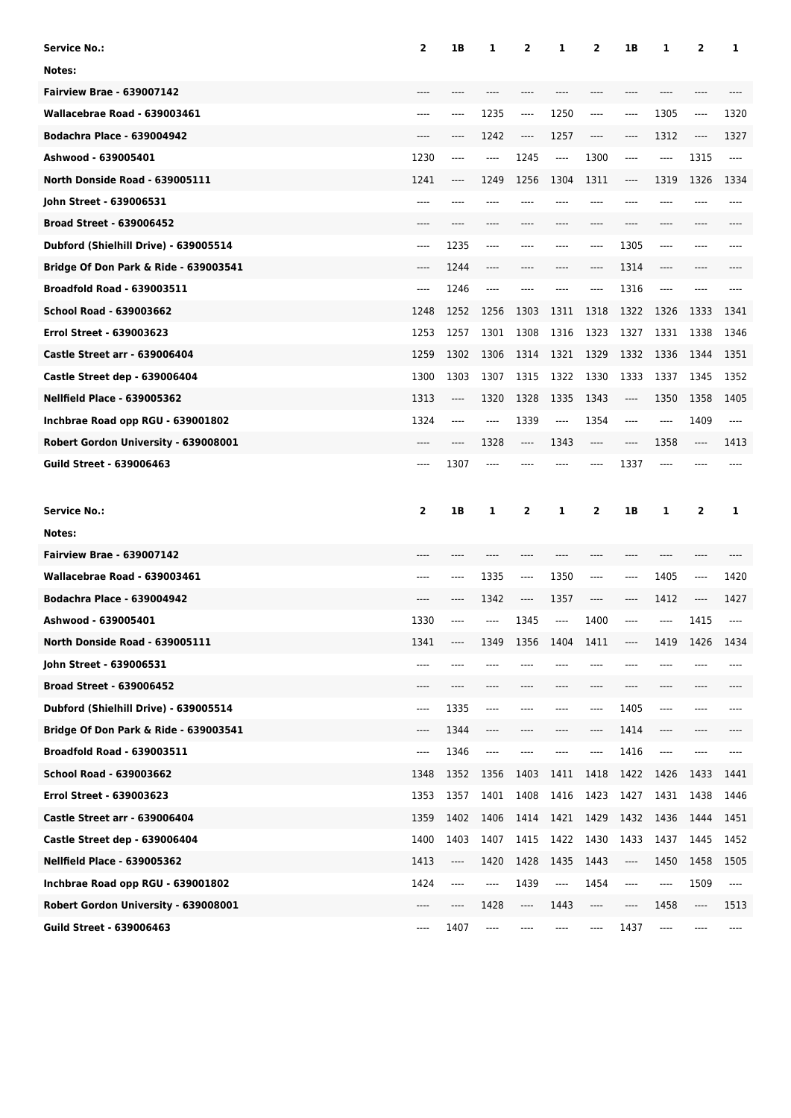| <b>Service No.:</b>                                                     | $\mathbf{2}$ | 1B           | 1                                     | 2            | 1            | 2                             | 1B           | 1                                     | 2            | 1                             |
|-------------------------------------------------------------------------|--------------|--------------|---------------------------------------|--------------|--------------|-------------------------------|--------------|---------------------------------------|--------------|-------------------------------|
| Notes:                                                                  |              |              |                                       |              |              |                               |              |                                       |              |                               |
| <b>Fairview Brae - 639007142</b>                                        |              |              |                                       |              |              |                               |              |                                       |              |                               |
| Wallacebrae Road - 639003461                                            | ----         | ----         | 1235                                  | $\cdots$     | 1250         | $-----$                       | ----         | 1305                                  | ----         | 1320                          |
| <b>Bodachra Place - 639004942</b>                                       | $---$        | ----         | 1242                                  | $\cdots$     | 1257         | $\hspace{1.5cm} \textbf{---}$ | ----         | 1312                                  | $\cdots$     | 1327                          |
| Ashwood - 639005401                                                     | 1230         | ----         | $---$                                 | 1245         | ----         | 1300                          | ----         | $-----$                               | 1315         | $---$                         |
| North Donside Road - 639005111                                          | 1241         | ----         | 1249                                  | 1256         | 1304         | 1311                          | ----         | 1319                                  | 1326         | 1334                          |
| John Street - 639006531                                                 | ----         | ----         | ----                                  | ----         | ----         | $---$                         | ----         |                                       | ----         | ----                          |
| <b>Broad Street - 639006452</b>                                         | $---$        | ----         | $---$                                 | ----         | ----         | $---$                         | ----         | ----                                  | ----         |                               |
| Dubford (Shielhill Drive) - 639005514                                   | $---$        | 1235         | $---$                                 | ----         | ----         | $---$                         | 1305         | ----                                  | ----         |                               |
| Bridge Of Don Park & Ride - 639003541                                   | $---$        | 1244         | $---$                                 | ----         | ----         | ----                          | 1314         | ----                                  | ----         |                               |
| <b>Broadfold Road - 639003511</b>                                       | ----         | 1246         | $\cdots$                              | ----         |              | $---$                         | 1316         | ----                                  | ----         |                               |
| School Road - 639003662                                                 | 1248         | 1252         | 1256                                  | 1303         | 1311         | 1318                          | 1322         | 1326                                  | 1333         | 1341                          |
| <b>Errol Street - 639003623</b>                                         | 1253         | 1257         | 1301                                  | 1308         | 1316         | 1323                          | 1327         | 1331                                  | 1338         | 1346                          |
| <b>Castle Street arr - 639006404</b>                                    | 1259         | 1302         | 1306                                  | 1314         | 1321         | 1329                          | 1332         | 1336                                  | 1344         | 1351                          |
| Castle Street dep - 639006404                                           | 1300         | 1303         | 1307                                  | 1315         | 1322         | 1330                          | 1333         | 1337                                  | 1345         | 1352                          |
| <b>Nellfield Place - 639005362</b>                                      | 1313         | ----         | 1320                                  | 1328         | 1335         | 1343                          | ----         | 1350                                  | 1358         | 1405                          |
| Inchbrae Road opp RGU - 639001802                                       | 1324         | ----         | $---$                                 | 1339         | ----         | 1354                          | ----         | ----                                  | 1409         | $---$                         |
| Robert Gordon University - 639008001                                    | $---$        | ----         | 1328                                  | ----         | 1343         | $---$                         | $---$        | 1358                                  | ----         | 1413                          |
| <b>Guild Street - 639006463</b>                                         | $---$        | 1307         | $---$                                 |              |              | $---$                         | 1337         | ----                                  |              |                               |
|                                                                         |              |              |                                       |              |              |                               |              |                                       |              |                               |
|                                                                         |              |              |                                       |              |              |                               |              |                                       |              |                               |
| <b>Service No.:</b>                                                     | $\mathbf{2}$ | 1B           | 1                                     | 2            | 1            | 2                             | 1B           | 1                                     | 2            | 1                             |
| Notes:                                                                  |              |              |                                       |              |              |                               |              |                                       |              |                               |
| <b>Fairview Brae - 639007142</b>                                        |              |              |                                       |              |              |                               |              |                                       |              |                               |
| Wallacebrae Road - 639003461                                            |              | ----         | 1335                                  | ----         | 1350         | ----                          | ----         | 1405                                  | ----         | 1420                          |
| <b>Bodachra Place - 639004942</b>                                       | ----         | ----         | 1342                                  | ----         | 1357         | ----                          | ----         | 1412                                  | ----         | 1427                          |
| Ashwood - 639005401                                                     | 1330         | ----         | ----                                  | 1345         | $---$        | 1400                          | ----         | ----                                  | 1415         |                               |
| North Donside Road - 639005111                                          | 1341         |              | 1349                                  | 1356         | 1404         | 1411                          | ----         | 1419                                  | 1426         | 1434                          |
| John Street - 639006531                                                 | ----         | ----         |                                       |              |              |                               |              |                                       |              |                               |
| <b>Broad Street - 639006452</b>                                         | ----         | ----         |                                       | ----         |              | ----                          | ----         | ----                                  |              |                               |
| Dubford (Shielhill Drive) - 639005514                                   | ----         | 1335         | $\hspace{1.5cm} \textbf{---}$         | ----         |              | ----                          | 1405         | ----                                  | ----         |                               |
| Bridge Of Don Park & Ride - 639003541                                   | ----         | 1344         | ----                                  | ----         |              | ----                          | 1414         | ----                                  | ----         |                               |
| <b>Broadfold Road - 639003511</b>                                       | ----         | 1346         | ----                                  | ----         |              | ----                          | 1416         | ----                                  | ----         |                               |
| School Road - 639003662                                                 |              |              |                                       |              |              |                               |              |                                       |              |                               |
|                                                                         | 1348         | 1352         | 1356                                  | 1403         | 1411         | 1418                          | 1422         | 1426                                  | 1433         | 1441                          |
| Errol Street - 639003623                                                | 1353         | 1357         | 1401                                  | 1408         | 1416         | 1423                          | 1427         | 1431                                  | 1438         | 1446                          |
| <b>Castle Street arr - 639006404</b>                                    | 1359         | 1402         | 1406                                  | 1414         | 1421         | 1429                          | 1432         | 1436                                  | 1444         | 1451                          |
| Castle Street dep - 639006404                                           | 1400         | 1403<br>---- | 1407                                  | 1415         | 1422         | 1430                          | 1433<br>---- | 1437                                  | 1445         | 1452                          |
| <b>Nellfield Place - 639005362</b>                                      | 1413         |              | 1420                                  | 1428         | 1435         | 1443                          |              | 1450                                  | 1458         | 1505                          |
| Inchbrae Road opp RGU - 639001802                                       | 1424<br>---- | ----         | ----                                  | 1439         | ----         | 1454                          | ----         | ----                                  | 1509<br>---- | $\hspace{1.5cm} \textbf{---}$ |
| Robert Gordon University - 639008001<br><b>Guild Street - 639006463</b> | ----         | ----<br>1407 | 1428<br>$\hspace{1.5cm} \textbf{---}$ | ----<br>---- | 1443<br>---- | ----<br>----                  | ----<br>1437 | 1458<br>$\hspace{1.5cm} \textbf{---}$ | ----         | 1513<br>----                  |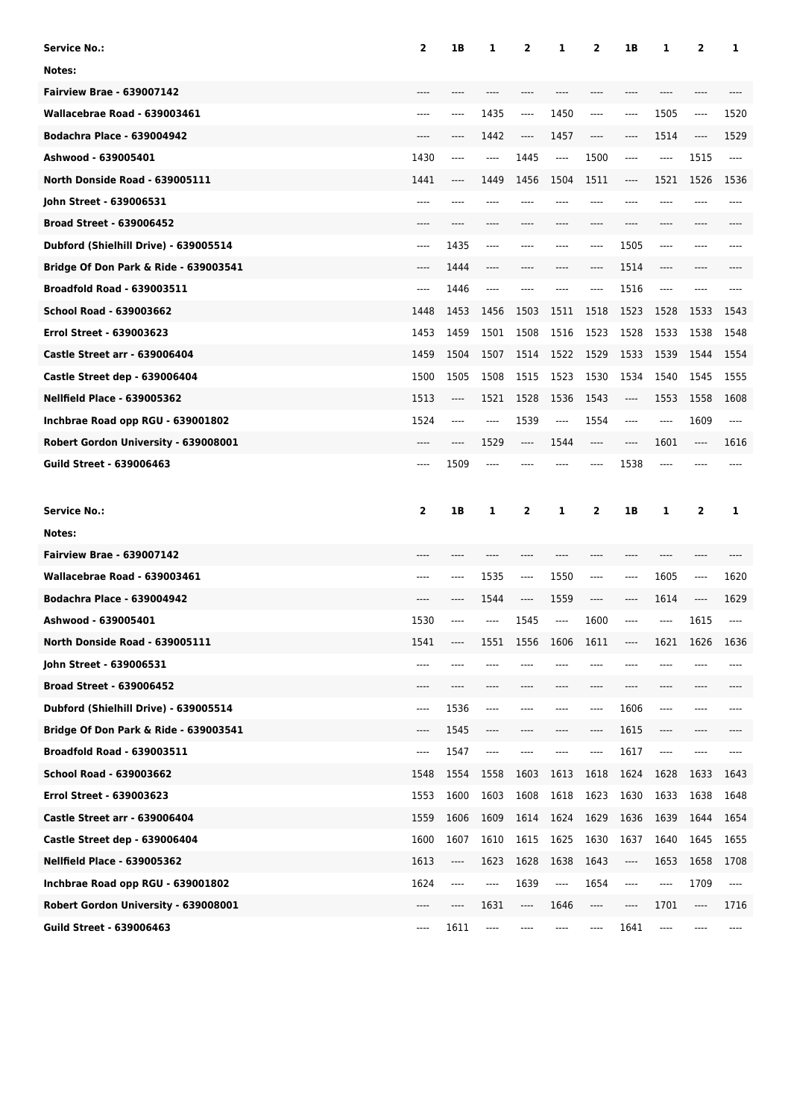| <b>Service No.:</b>                                                     | $\mathbf{2}$ | 1B                                           | 1                             | 2        | 1     | 2                             | 1B    | 1    | 2        | 1     |
|-------------------------------------------------------------------------|--------------|----------------------------------------------|-------------------------------|----------|-------|-------------------------------|-------|------|----------|-------|
| Notes:                                                                  |              |                                              |                               |          |       |                               |       |      |          |       |
| <b>Fairview Brae - 639007142</b>                                        |              |                                              |                               |          |       |                               |       |      |          |       |
| Wallacebrae Road - 639003461                                            | ----         | ----                                         | 1435                          | $\cdots$ | 1450  | $-----$                       | ----  | 1505 | ----     | 1520  |
| <b>Bodachra Place - 639004942</b>                                       | $---$        | ----                                         | 1442                          | ----     | 1457  | $\hspace{1.5cm} \textbf{---}$ | ----  | 1514 | $\cdots$ | 1529  |
| Ashwood - 639005401                                                     | 1430         | ----                                         | $-----$                       | 1445     | ----  | 1500                          | ----  | ---- | 1515     | $---$ |
| North Donside Road - 639005111                                          | 1441         | ----                                         | 1449                          | 1456     | 1504  | 1511                          | ----  | 1521 | 1526     | 1536  |
| John Street - 639006531                                                 | ----         | ----                                         | ----                          | ----     | ----  | $---$                         | ----  |      | ----     | ----  |
| <b>Broad Street - 639006452</b>                                         | $---$        | ----                                         | $---$                         | ----     | ----  | $---$                         | ----  | ---- | ----     |       |
| Dubford (Shielhill Drive) - 639005514                                   | $---$        | 1435                                         | $---$                         | ----     | ----  | $---$                         | 1505  | ---- | ----     |       |
| Bridge Of Don Park & Ride - 639003541                                   | $---$        | 1444                                         | $---$                         | ----     | ----  | ----                          | 1514  | ---- | ----     |       |
| <b>Broadfold Road - 639003511</b>                                       | ----         | 1446                                         | $-----$                       | ----     |       | $---$                         | 1516  | ---- | ----     |       |
| School Road - 639003662                                                 | 1448         | 1453                                         | 1456                          | 1503     | 1511  | 1518                          | 1523  | 1528 | 1533     | 1543  |
| <b>Errol Street - 639003623</b>                                         | 1453         | 1459                                         | 1501                          | 1508     | 1516  | 1523                          | 1528  | 1533 | 1538     | 1548  |
| <b>Castle Street arr - 639006404</b>                                    | 1459         | 1504                                         | 1507                          | 1514     | 1522  | 1529                          | 1533  | 1539 | 1544     | 1554  |
| Castle Street dep - 639006404                                           | 1500         | 1505                                         | 1508                          | 1515     | 1523  | 1530                          | 1534  | 1540 | 1545     | 1555  |
| <b>Nellfield Place - 639005362</b>                                      | 1513         | ----                                         | 1521                          | 1528     | 1536  | 1543                          | ----  | 1553 | 1558     | 1608  |
| Inchbrae Road opp RGU - 639001802                                       | 1524         | ----                                         | $---$                         | 1539     | ----  | 1554                          | ----  | ---- | 1609     | $---$ |
| Robert Gordon University - 639008001                                    | $---$        | ----                                         | 1529                          | ----     | 1544  | $---$                         | $---$ | 1601 | ----     | 1616  |
| <b>Guild Street - 639006463</b>                                         | $---$        | 1509                                         | $---$                         |          |       | $---$                         | 1538  | ---- | ----     |       |
|                                                                         |              |                                              |                               |          |       |                               |       |      |          |       |
|                                                                         |              |                                              |                               |          |       |                               |       |      |          |       |
| <b>Service No.:</b>                                                     | $\mathbf{2}$ | 1B                                           | 1                             | 2        | 1     | 2                             | 1B    | 1    | 2        | 1     |
| Notes:                                                                  |              |                                              |                               |          |       |                               |       |      |          |       |
| <b>Fairview Brae - 639007142</b>                                        |              |                                              |                               |          |       |                               |       |      |          |       |
| Wallacebrae Road - 639003461                                            |              | ----                                         | 1535                          | ----     | 1550  | ----                          | ----  | 1605 | ----     | 1620  |
| <b>Bodachra Place - 639004942</b>                                       | ----         | ----                                         | 1544                          | ----     | 1559  | ----                          | ----  | 1614 | ----     | 1629  |
| Ashwood - 639005401                                                     | 1530         | ----                                         | ----                          | 1545     | $---$ | 1600                          | ----  | ---- | 1615     |       |
| North Donside Road - 639005111                                          | 1541         |                                              | 1551                          | 1556     | 1606  | 1611                          | ----  | 1621 | 1626     | 1636  |
| John Street - 639006531                                                 | ----         | ----                                         |                               |          |       |                               |       |      |          |       |
| <b>Broad Street - 639006452</b>                                         | ----         | ----                                         |                               | ----     | ----  | ----                          | ----  | ---- | ----     |       |
| Dubford (Shielhill Drive) - 639005514                                   | ----         | 1536                                         | $\hspace{1.5cm} \textbf{---}$ | ----     |       | ----                          | 1606  | ---- | ----     |       |
| Bridge Of Don Park & Ride - 639003541                                   | ----         | 1545                                         | ----                          | ----     |       | ----                          | 1615  | ---- | ----     |       |
| <b>Broadfold Road - 639003511</b>                                       | ----         | 1547                                         | ----                          | ----     |       | ----                          | 1617  | ---- | ----     |       |
| School Road - 639003662                                                 | 1548         | 1554                                         | 1558                          | 1603     | 1613  | 1618                          | 1624  | 1628 | 1633     | 1643  |
| Errol Street - 639003623                                                | 1553         | 1600                                         | 1603                          | 1608     | 1618  | 1623                          | 1630  | 1633 | 1638     | 1648  |
| <b>Castle Street arr - 639006404</b>                                    | 1559         | 1606                                         | 1609                          | 1614     | 1624  | 1629                          | 1636  | 1639 | 1644     | 1654  |
| Castle Street dep - 639006404                                           | 1600         | 1607                                         | 1610                          | 1615     | 1625  | 1630                          | 1637  | 1640 | 1645     | 1655  |
|                                                                         | 1613         | $\hspace{1.5cm} \textbf{---} \hspace{1.5cm}$ | 1623                          | 1628     | 1638  | 1643                          | ----  | 1653 | 1658     | 1708  |
| <b>Nellfield Place - 639005362</b><br>Inchbrae Road opp RGU - 639001802 |              | ----                                         | $-----$                       | 1639     | ----  | 1654                          | ----  | ---- | 1709     | ----  |
| Robert Gordon University - 639008001                                    | 1624<br>---- | ----                                         | 1631                          | ----     | 1646  | ----                          | ----  | 1701 | ----     | 1716  |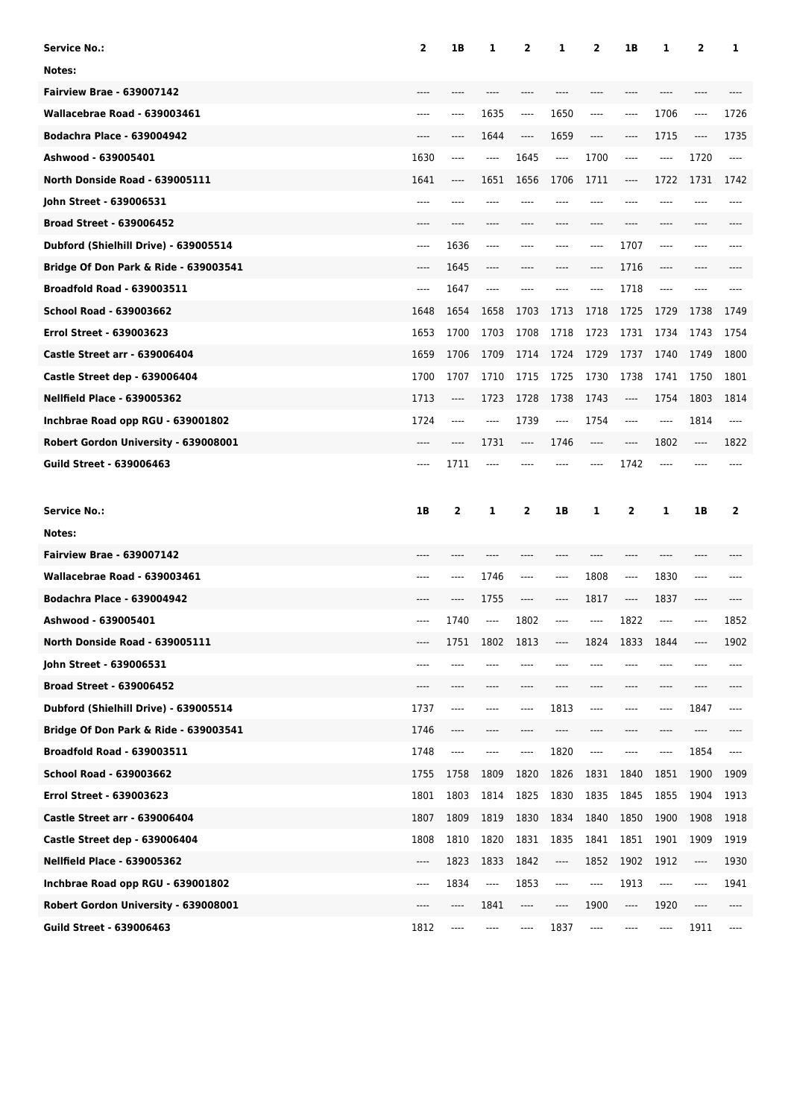| <b>Service No.:</b>                   | $\mathbf{2}$ | 1B   | 1       | 2        | 1    | 2                             | 1B    | 1    | 2        | 1     |
|---------------------------------------|--------------|------|---------|----------|------|-------------------------------|-------|------|----------|-------|
| Notes:                                |              |      |         |          |      |                               |       |      |          |       |
| <b>Fairview Brae - 639007142</b>      |              |      |         |          |      |                               |       |      |          |       |
| Wallacebrae Road - 639003461          | ----         | ---- | 1635    | $\cdots$ | 1650 | $-----$                       | ----  | 1706 | ----     | 1726  |
| <b>Bodachra Place - 639004942</b>     | $---$        | ---- | 1644    | $\cdots$ | 1659 | $\hspace{1.5cm} \textbf{---}$ | ----  | 1715 | $\cdots$ | 1735  |
| Ashwood - 639005401                   | 1630         | ---- | $---$   | 1645     | ---- | 1700                          | ----  | ---- | 1720     | ----  |
| North Donside Road - 639005111        | 1641         | ---- | 1651    | 1656     | 1706 | 1711                          | ----  | 1722 | 1731     | 1742  |
| John Street - 639006531               | ----         | ---- |         | ----     | ---- | $---$                         | ----  |      | ----     | ----  |
| <b>Broad Street - 639006452</b>       | $---$        | ---- | $---$   | ----     | ---- | $---$                         | ----  | ---- | ----     |       |
| Dubford (Shielhill Drive) - 639005514 | $---$        | 1636 | $---$   | ----     | ---- | $---$                         | 1707  | ---- | ----     |       |
| Bridge Of Don Park & Ride - 639003541 | $---$        | 1645 | $---$   | ----     | ---- | ----                          | 1716  | ---- | ----     |       |
| <b>Broadfold Road - 639003511</b>     | ----         | 1647 | $-----$ | ----     |      | $---$                         | 1718  | ---- | ----     |       |
| School Road - 639003662               | 1648         | 1654 | 1658    | 1703     | 1713 | 1718                          | 1725  | 1729 | 1738     | 1749  |
| <b>Errol Street - 639003623</b>       | 1653         | 1700 | 1703    | 1708     | 1718 | 1723                          | 1731  | 1734 | 1743     | 1754  |
| <b>Castle Street arr - 639006404</b>  | 1659         | 1706 | 1709    | 1714     | 1724 | 1729                          | 1737  | 1740 | 1749     | 1800  |
| Castle Street dep - 639006404         | 1700         | 1707 | 1710    | 1715     | 1725 | 1730                          | 1738  | 1741 | 1750     | 1801  |
| <b>Nellfield Place - 639005362</b>    | 1713         | ---- | 1723    | 1728     | 1738 | 1743                          | ----  | 1754 | 1803     | 1814  |
| Inchbrae Road opp RGU - 639001802     | 1724         | ---- | $---$   | 1739     | ---- | 1754                          | ----  | ---- | 1814     | $---$ |
| Robert Gordon University - 639008001  | $---$        | ---- | 1731    | ----     | 1746 | $-----$                       | $---$ | 1802 | ----     | 1822  |
| <b>Guild Street - 639006463</b>       | $---$        | 1711 | $---$   |          |      | $---$                         | 1742  | ---- |          |       |
|                                       |              |      |         |          |      |                               |       |      |          |       |
| <b>Service No.:</b>                   | 1B           |      | 1       | 2        | 1B   |                               |       | 1    | 1B       | 2     |
| Notes:                                |              | 2    |         |          |      | 1                             | 2     |      |          |       |
| <b>Fairview Brae - 639007142</b>      |              |      |         |          |      |                               |       |      |          |       |
| Wallacebrae Road - 639003461          |              | ---- | 1746    | ----     | ---- | 1808                          | ----  | 1830 | ----     |       |
| <b>Bodachra Place - 639004942</b>     |              | ---- | 1755    | ----     | ---- | 1817                          | ----  | 1837 | ----     |       |
| Ashwood - 639005401                   | ----         | 1740 | ----    | 1802     | ---- | $-----$                       | 1822  | ---- | ----     | 1852  |
| North Donside Road - 639005111        |              | 1751 | 1802    | 1813     | ---- | 1824                          | 1833  | 1844 |          | 1902  |
| John Street - 639006531               | ----         | ---- |         |          |      |                               |       |      |          |       |
| <b>Broad Street - 639006452</b>       | ----         | ---- |         | ----     | ---- | ----                          | ----  | ---- | ----     |       |
| Dubford (Shielhill Drive) - 639005514 | 1737         | ---- | ----    | ----     | 1813 | $-----$                       | ----  | ---- | 1847     | ----  |
| Bridge Of Don Park & Ride - 639003541 | 1746         | ---- | ----    | ----     | ---- |                               | ----  | ---- | ----     |       |
| <b>Broadfold Road - 639003511</b>     | 1748         | ---- | ----    | ----     | 1820 | ----                          | ----  | ---- | 1854     | ----  |
| School Road - 639003662               | 1755         | 1758 | 1809    | 1820     | 1826 | 1831                          | 1840  | 1851 | 1900     | 1909  |
| Errol Street - 639003623              | 1801         | 1803 | 1814    | 1825     | 1830 | 1835                          | 1845  | 1855 | 1904     | 1913  |
| <b>Castle Street arr - 639006404</b>  | 1807         | 1809 | 1819    | 1830     | 1834 | 1840                          | 1850  | 1900 | 1908     | 1918  |
| Castle Street dep - 639006404         | 1808         | 1810 | 1820    | 1831     | 1835 | 1841                          | 1851  | 1901 | 1909     | 1919  |
| <b>Nellfield Place - 639005362</b>    | ----         | 1823 | 1833    | 1842     | ---- | 1852                          | 1902  | 1912 | ----     | 1930  |
| Inchbrae Road opp RGU - 639001802     | ----         | 1834 | ----    | 1853     | ---- | ----                          | 1913  | ---- | ----     | 1941  |
| Robert Gordon University - 639008001  | ----         | ---- | 1841    | ----     | ---- | 1900                          | ----  | 1920 | ----     | ----  |